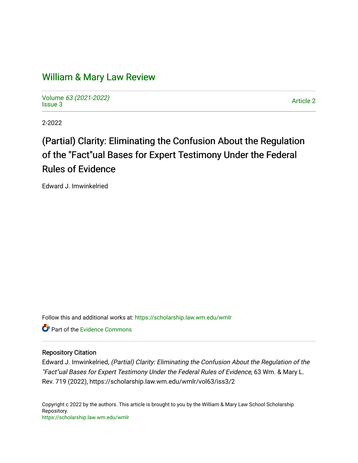## [William & Mary Law Review](https://scholarship.law.wm.edu/wmlr)

Volume [63 \(2021-2022\)](https://scholarship.law.wm.edu/wmlr/vol63)  volume os (2027-2022)<br>[Issue 3](https://scholarship.law.wm.edu/wmlr/vol63/iss3) Article 2

2-2022

# (Partial) Clarity: Eliminating the Confusion About the Regulation of the "Fact"ual Bases for Expert Testimony Under the Federal Rules of Evidence

Edward J. Imwinkelried

Follow this and additional works at: [https://scholarship.law.wm.edu/wmlr](https://scholarship.law.wm.edu/wmlr?utm_source=scholarship.law.wm.edu%2Fwmlr%2Fvol63%2Fiss3%2F2&utm_medium=PDF&utm_campaign=PDFCoverPages)

**P** Part of the Evidence Commons

#### Repository Citation

Edward J. Imwinkelried, (Partial) Clarity: Eliminating the Confusion About the Regulation of the "Fact"ual Bases for Expert Testimony Under the Federal Rules of Evidence, 63 Wm. & Mary L. Rev. 719 (2022), https://scholarship.law.wm.edu/wmlr/vol63/iss3/2

Copyright c 2022 by the authors. This article is brought to you by the William & Mary Law School Scholarship Repository. <https://scholarship.law.wm.edu/wmlr>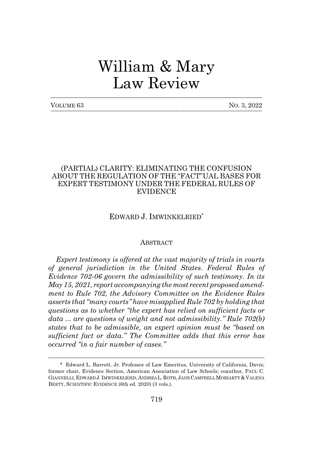# William & Mary Law Review

| VOLUME 63 |  |
|-----------|--|
|-----------|--|

No. 3, 2022

#### (PARTIAL) CLARITY: ELIMINATING THE CONFUSION ABOUT THE REGULATION OF THE "FACT"UAL BASES FOR EXPERT TESTIMONY UNDER THE FEDERAL RULES OF EVIDENCE

#### EDWARD J. IMWINKELRIED\*

#### **ABSTRACT**

*Expert testimony is offered at the vast majority of trials in courts of general jurisdiction in the United States. Federal Rules of Evidence 702-06 govern the admissibility of such testimony. In its May 15, 2021, report accompanying the most recent proposed amendment to Rule 702, the Advisory Committee on the Evidence Rules asserts that "many courts" have misapplied Rule 702 by holding that questions as to whether "the expert has relied on sufficient facts or data ... are questions of weight and not admissibility." Rule 702(b) states that to be admissible, an expert opinion must be "based on sufficient fact or data." The Committee adds that this error has occurred "in a fair number of cases."*

<sup>\*</sup> Edward L. Barrett, Jr. Professor of Law Emeritus, University of California, Davis; former chair, Evidence Section, American Association of Law Schools; coauthor, PAUL C. GIANNELLI, EDWARD J. IMWINKELRIED, ANDREA L. ROTH, JANE CAMPBELL MORIARTY & VALENA BEETY, SCIENTIFIC EVIDENCE (6th ed. 2020) (3 vols.).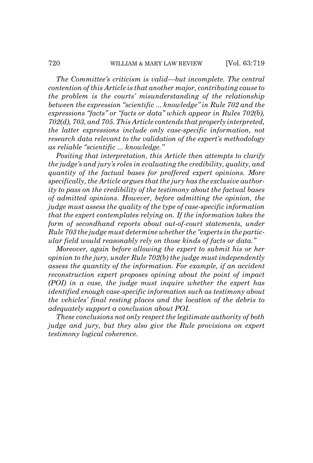*The Committee's criticism is valid—but incomplete. The central contention of this Article is that another major, contributing cause to the problem is the courts' misunderstanding of the relationship between the expression "scientific ... knowledge" in Rule 702 and the expressions "facts" or "facts or data" which appear in Rules 702(b), 702(d), 703, and 705. This Article contends that properly interpreted, the latter expressions include only case-specific information, not research data relevant to the validation of the expert's methodology as reliable "scientific ... knowledge."*

*Positing that interpretation, this Article then attempts to clarify the judge's and jury's roles in evaluating the credibility, quality, and quantity of the factual bases for proffered expert opinions. More specifically, the Article argues that the jury has the exclusive authority to pass on the credibility of the testimony about the factual bases of admitted opinions. However, before admitting the opinion, the judge must assess the quality of the type of case-specific information that the expert contemplates relying on. If the information takes the form of secondhand reports about out-of-court statements, under Rule 703 the judge must determine whether the "experts in the particular field would reasonably rely on those kinds of facts or data."*

*Moreover, again before allowing the expert to submit his or her opinion to the jury, under Rule 702(b) the judge must independently assess the quantity of the information. For example, if an accident reconstruction expert proposes opining about the point of impact (POI) in a case, the judge must inquire whether the expert has identified enough case-specific information such as testimony about the vehicles' final resting places and the location of the debris to adequately support a conclusion about POI.*

*These conclusions not only respect the legitimate authority of both judge and jury, but they also give the Rule provisions on expert testimony logical coherence.*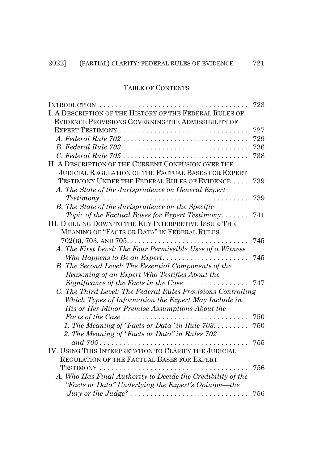### TABLE OF CONTENTS

|                                                                                                   | 723 |
|---------------------------------------------------------------------------------------------------|-----|
| I. A DESCRIPTION OF THE HISTORY OF THE FEDERAL RULES OF                                           |     |
| EVIDENCE PROVISIONS GOVERNING THE ADMISSIBILITY OF                                                |     |
| EXPERT TESTIMONY                                                                                  | 727 |
|                                                                                                   | 729 |
|                                                                                                   | 736 |
|                                                                                                   | 738 |
| II. A DESCRIPTION OF THE CURRENT CONFUSION OVER THE                                               |     |
| <b>JUDICIAL REGULATION OF THE FACTUAL BASES FOR EXPERT</b>                                        |     |
| TESTIMONY UNDER THE FEDERAL RULES OF EVIDENCE                                                     | 739 |
| A. The State of the Jurisprudence on General Expert                                               |     |
| $Testimony \dots \dots \dots \dots \dots \dots \dots \dots \dots \dots \dots \dots \dots$         | 739 |
| B. The State of the Jurisprudence on the Specific                                                 |     |
| Topic of the Factual Bases for Expert Testimony                                                   | 741 |
| III. DRILLING DOWN TO THE KEY INTERPRETIVE ISSUE: THE                                             |     |
| MEANING OF "FACTS OR DATA" IN FEDERAL RULES                                                       |     |
|                                                                                                   | 745 |
| A. The First Level: The Four Permissible Uses of a Witness                                        |     |
|                                                                                                   | 745 |
| B. The Second Level: The Essential Components of the                                              |     |
| Reasoning of an Expert Who Testifies About the                                                    |     |
| Significance of the Facts in the Case $\ldots \ldots \ldots \ldots$                               | 747 |
| C. The Third Level: The Federal Rules Provisions Controlling                                      |     |
| Which Types of Information the Expert May Include in                                              |     |
| His or Her Minor Premise Assumptions About the                                                    |     |
| Facts of the Case                                                                                 | 750 |
| 1. The Meaning of "Facts or Data" in Rule $703$                                                   | 750 |
| 2. The Meaning of "Facts or Data" in Rules 702                                                    |     |
| and $705$                                                                                         | 755 |
| IV. USING THIS INTERPRETATION TO CLARIFY THE JUDICIAL                                             |     |
| REGULATION OF THE FACTUAL BASES FOR EXPERT                                                        |     |
|                                                                                                   | 756 |
| A. Who Has Final Authority to Decide the Credibility of the                                       |     |
| "Facts or Data" Underlying the Expert's Opinion—the                                               |     |
| Jury or the Judge? $\ldots \ldots \ldots \ldots \ldots \ldots \ldots \ldots \ldots \ldots \ldots$ | 756 |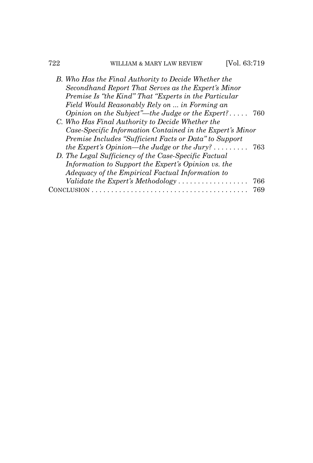### 722 WILLIAM & MARY LAW REVIEW [Vol. 63:719

| B. Who Has the Final Authority to Decide Whether the               |     |
|--------------------------------------------------------------------|-----|
| Secondhand Report That Serves as the Expert's Minor                |     |
| Premise Is "the Kind" That "Experts in the Particular              |     |
| Field Would Reasonably Rely on  in Forming an                      |     |
| Opinion on the Subject"—the Judge or the Expert?                   | 760 |
| C. Who Has Final Authority to Decide Whether the                   |     |
| Case-Specific Information Contained in the Expert's Minor          |     |
| Premise Includes "Sufficient Facts or Data" to Support             |     |
| the Expert's Opinion—the Judge or the Jury? $\dots \dots$          | 763 |
| D. The Legal Sufficiency of the Case-Specific Factual              |     |
| Information to Support the Expert's Opinion vs. the                |     |
| Adequacy of the Empirical Factual Information to                   |     |
| Validate the Expert's Methodology $\dots\dots\dots\dots\dots\dots$ | 766 |
| USION                                                              | 769 |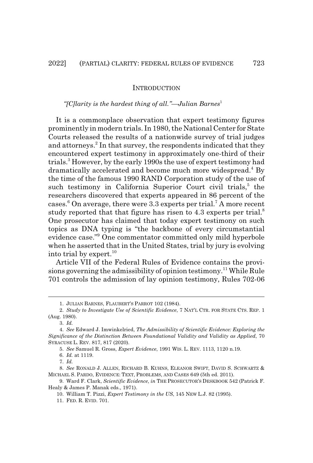#### INTRODUCTION

#### *"[C]larity is the hardest thing of all."—Julian Barnes*<sup>1</sup>

It is a commonplace observation that expert testimony figures prominently in modern trials. In 1980, the National Center for State Courts released the results of a nationwide survey of trial judges and attorneys.<sup>2</sup> In that survey, the respondents indicated that they encountered expert testimony in approximately one-third of their trials.<sup>3</sup> However, by the early 1990s the use of expert testimony had dramatically accelerated and become much more widespread.<sup>4</sup> By the time of the famous 1990 RAND Corporation study of the use of such testimony in California Superior Court civil trials,<sup>5</sup> the researchers discovered that experts appeared in 86 percent of the cases.<sup>6</sup> On average, there were 3.3 experts per trial.<sup>7</sup> A more recent study reported that that figure has risen to 4.3 experts per trial.<sup>8</sup> One prosecutor has claimed that today expert testimony on such topics as DNA typing is "the backbone of every circumstantial evidence case."9 One commentator committed only mild hyperbole when he asserted that in the United States, trial by jury is evolving into trial by expert. $^{10}$ 

Article VII of the Federal Rules of Evidence contains the provisions governing the admissibility of opinion testimony.<sup>11</sup> While Rule 701 controls the admission of lay opinion testimony, Rules 702-06

<sup>1.</sup> JULIAN BARNES, FLAUBERT'S PARROT 102 (1984).

<sup>2.</sup> *Study to Investigate Use of Scientific Evidence*, 7 NAT'L CTR. FOR STATE CTS. REP. 1 (Aug. 1980).

<sup>3.</sup> *Id.*

<sup>4.</sup> *See* Edward J. Imwinkelried, *The Admissibility of Scientific Evidence: Exploring the Significance of the Distinction Between Foundational Validity and Validity as Applied*, 70 SYRACUSE L. REV. 817, 817 (2020).

<sup>5.</sup> *See* Samuel R. Gross, *Expert Evidence*, 1991 WIS. L. REV. 1113, 1120 n.19.

<sup>6.</sup> *Id.* at 1119.

<sup>7.</sup> *Id.*

<sup>8.</sup> *See* RONALD J. ALLEN, RICHARD B. KUHNS, ELEANOR SWIFT, DAVID S. SCHWARTZ & MICHAEL S. PARDO, EVIDENCE: TEXT, PROBLEMS, AND CASES 649 (5th ed. 2011).

<sup>9.</sup> Ward F. Clark, *Scientific Evidence*, *in* THE PROSECUTOR'S DESKBOOK 542 (Patrick F. Healy & James P. Manak eds., 1971).

<sup>10.</sup> William T. Pizzi, *Expert Testimony in the US*, 145 NEW L.J. 82 (1995).

<sup>11.</sup> FED. R. EVID. 701.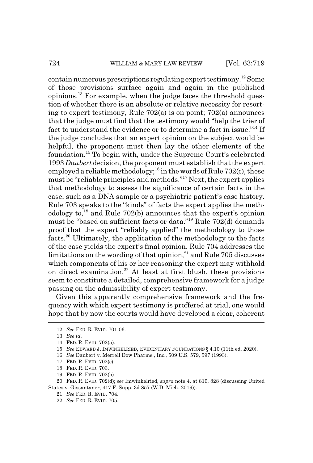contain numerous prescriptions regulating expert testimony.12 Some of those provisions surface again and again in the published  $\text{opinions}.$ <sup>13</sup> For example, when the judge faces the threshold question of whether there is an absolute or relative necessity for resorting to expert testimony, Rule 702(a) is on point; 702(a) announces that the judge must find that the testimony would "help the trier of fact to understand the evidence or to determine a fact in issue."14 If the judge concludes that an expert opinion on the subject would be helpful, the proponent must then lay the other elements of the foundation.15 To begin with, under the Supreme Court's celebrated 1993 *Daubert* decision, the proponent must establish that the expert employed a reliable methodology;<sup>16</sup> in the words of Rule 702(c), these must be "reliable principles and methods."17 Next, the expert applies that methodology to assess the significance of certain facts in the case, such as a DNA sample or a psychiatric patient's case history. Rule 703 speaks to the "kinds" of facts the expert applies the methodology to, $^{18}$  and Rule 702(b) announces that the expert's opinion must be "based on sufficient facts or data."19 Rule 702(d) demands proof that the expert "reliably applied" the methodology to those facts.20 Ultimately, the application of the methodology to the facts of the case yields the expert's final opinion. Rule 704 addresses the limitations on the wording of that opinion, $^{21}$  and Rule 705 discusses which components of his or her reasoning the expert may withhold on direct examination.<sup>22</sup> At least at first blush, these provisions seem to constitute a detailed, comprehensive framework for a judge passing on the admissibility of expert testimony.

Given this apparently comprehensive framework and the frequency with which expert testimony is proffered at trial, one would hope that by now the courts would have developed a clear, coherent

16. *See* Daubert v. Merrell Dow Pharms., Inc., 509 U.S. 579, 597 (1993).

19. FED. R. EVID. 702(b).

20. FED. R. EVID. 702(d); *see* Imwinkelried, *supra* note 4, at 819, 828 (discussing United States v. Gissantaner, 417 F. Supp. 3d 857 (W.D. Mich. 2019)).

- 21. *See* FED. R. EVID. 704.
- 22. *See* FED. R. EVID. 705.

<sup>12.</sup> *See* FED. R. EVID. 701-06.

<sup>13.</sup> *See id.*

<sup>14.</sup> FED. R. EVID. 702(a).

<sup>15.</sup> *See* EDWARD J. IMWINKELRIED, EVIDENTIARY FOUNDATIONS § 4.10 (11th ed. 2020).

<sup>17.</sup> FED. R. EVID. 702(c).

<sup>18.</sup> FED. R. EVID. 703.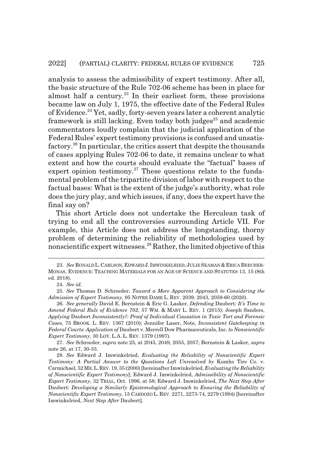analysis to assess the admissibility of expert testimony. After all, the basic structure of the Rule 702-06 scheme has been in place for almost half a century.<sup>23</sup> In their earliest form, these provisions became law on July 1, 1975, the effective date of the Federal Rules of Evidence.24 Yet, sadly, forty-seven years later a coherent analytic framework is still lacking. Even today both judges<sup>25</sup> and academic commentators loudly complain that the judicial application of the Federal Rules' expert testimony provisions is confused and unsatisfactory.26 In particular, the critics assert that despite the thousands of cases applying Rules 702-06 to date, it remains unclear to what extent and how the courts should evaluate the "factual" bases of expert opinion testimony.<sup>27</sup> These questions relate to the fundamental problem of the tripartite division of labor with respect to the factual bases: What is the extent of the judge's authority, what role does the jury play, and which issues, if any, does the expert have the final say on?

This short Article does not undertake the Herculean task of trying to end all the controversies surrounding Article VII. For example, this Article does not address the longstanding, thorny problem of determining the reliability of methodologies used by nonscientific expert witnesses.28 Rather, the limited objective of this

<sup>23.</sup> *See* RONALD L.CARLSON,EDWARD J. IMWINKELRIED,JULIE SEAMAN &ERICA BEECHER-MONAS, EVIDENCE: TEACHING MATERIALS FOR AN AGE OF SCIENCE AND STATUTES 13, 15 (8th ed. 2018).

<sup>24.</sup> *See id.*

<sup>25.</sup> *See* Thomas D. Schroeder, *Toward a More Apparent Approach to Considering the Admission of Expert Testimony*, 95 NOTRE DAME L. REV. 2039, 2043, 2059-60 (2020).

<sup>26.</sup> *See generally* David E. Bernstein & Eric G. Lasker, *Defending* Daubert*: It's Time to Amend Federal Rule of Evidence 702*, 57 WM.&MARY L. REV. 1 (2015); Joseph Sanders, *Applying* Daubert *Inconsistently?: Proof of Individual Causation in Toxic Tort and Forensic Cases*, 75 BROOK. L. REV. 1367 (2010); Jennifer Laser, Note, *Inconsistent Gatekeeping in Federal Courts: Application of* Daubert v. Merrell Dow Pharmaceuticals, Inc. *to Nonscientific Expert Testimony*, 30 LOY. L.A. L. REV. 1379 (1997).

<sup>27.</sup> *See* Schroeder, *supra* note 25, at 2045, 2049, 2055, 2057; Bernstein & Lasker, *supra* note 26, at 17, 30-33.

<sup>28.</sup> *See* Edward J. Imwinkelried, *Evaluating the Reliability of Nonscientific Expert Testimony: A Partial Answer to the Questions Left Unresolved by* Kumho Tire Co. v. Carmichael, 52 ME.L.REV. 19, 35 (2000) [hereinafter Imwinkelried, *Evaluating the Reliability of Nonscientific Expert Testimony*]; Edward J. Imwinkelried, *Admissibility of Nonscientific Expert Testimony*, 32 TRIAL, Oct. 1996, at 58; Edward J. Imwinkelried, *The Next Step After* Daubert*: Developing a Similarly Epistemological Approach to Ensuring the Reliability of Nonscientific Expert Testimony*, 15 CARDOZO L. REV. 2271, 2273-74, 2279 (1994) [hereinafter Imwinkelried, *Next Step After* Daubert].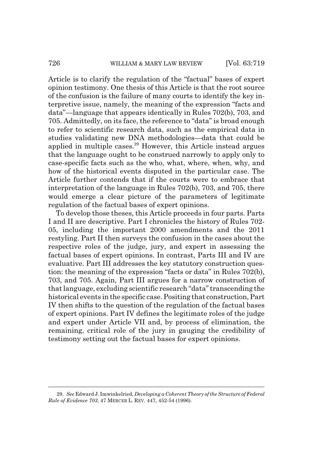Article is to clarify the regulation of the "factual" bases of expert opinion testimony. One thesis of this Article is that the root source of the confusion is the failure of many courts to identify the key interpretive issue, namely, the meaning of the expression "facts and data"—language that appears identically in Rules 702(b), 703, and 705. Admittedly, on its face, the reference to "data" is broad enough to refer to scientific research data, such as the empirical data in studies validating new DNA methodologies—data that could be applied in multiple cases.<sup>29</sup> However, this Article instead argues that the language ought to be construed narrowly to apply only to case-specific facts such as the who, what, where, when, why, and how of the historical events disputed in the particular case. The Article further contends that if the courts were to embrace that interpretation of the language in Rules 702(b), 703, and 705, there would emerge a clear picture of the parameters of legitimate regulation of the factual bases of expert opinions.

To develop those theses, this Article proceeds in four parts. Parts I and II are descriptive. Part I chronicles the history of Rules 702- 05, including the important 2000 amendments and the 2011 restyling. Part II then surveys the confusion in the cases about the respective roles of the judge, jury, and expert in assessing the factual bases of expert opinions. In contrast, Parts III and IV are evaluative. Part III addresses the key statutory construction question: the meaning of the expression "facts or data" in Rules 702(b), 703, and 705. Again, Part III argues for a narrow construction of that language, excluding scientific research "data" transcending the historical events in the specific case. Positing that construction, Part IV then shifts to the question of the regulation of the factual bases of expert opinions. Part IV defines the legitimate roles of the judge and expert under Article VII and, by process of elimination, the remaining, critical role of the jury in gauging the credibility of testimony setting out the factual bases for expert opinions.

<sup>29.</sup> *See* Edward J. Imwinkelried, *Developing a Coherent Theory of the Structure of Federal Rule of Evidence 703*, 47 MERCER L. REV. 447, 452-54 (1996).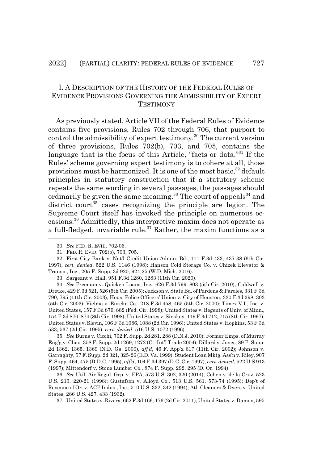#### I. A DESCRIPTION OF THE HISTORY OF THE FEDERAL RULES OF EVIDENCE PROVISIONS GOVERNING THE ADMISSIBILITY OF EXPERT **TESTIMONY**

As previously stated, Article VII of the Federal Rules of Evidence contains five provisions, Rules 702 through 706, that purport to control the admissibility of expert testimony.<sup>30</sup> The current version of three provisions, Rules 702(b), 703, and 705, contains the language that is the focus of this Article, "facts or data."31 If the Rules' scheme governing expert testimony is to cohere at all, those provisions must be harmonized. It is one of the most basic,<sup>32</sup> default principles in statutory construction that if a statutory scheme repeats the same wording in several passages, the passages should ordinarily be given the same meaning.<sup>33</sup> The court of appeals<sup>34</sup> and district court<sup>35</sup> cases recognizing the principle are legion. The Supreme Court itself has invoked the principle on numerous occasions.36 Admittedly, this interpretive maxim does not operate as a full-fledged, invariable rule.<sup>37</sup> Rather, the maxim functions as a

35. *See* Burns v. Cicchi, 702 F. Supp. 2d 281, 288 (D.N.J. 2010); Former Emps. of Murray Eng'g v. Chao, 358 F. Supp. 2d 1269, 1272 (Ct. Int'l Trade 2004); Dillard v. Jones, 89 F. Supp. 2d 1362, 1365, 1369 (N.D. Ga. 2000), *aff'd*, 46 F. App'x 617 (11th Cir. 2002); Johnson v. Garraghty, 57 F. Supp. 2d 321, 325-26 (E.D. Va. 1999); Student Loan Mktg. Ass'n v. Riley, 907 F. Supp. 464, 475 (D.D.C. 1995), *aff'd*, 104 F.3d 397 (D.C. Cir. 1997), *cert. denied*, 522 U.S 913 (1997); Mittendorf v. Stone Lumber Co., 874 F. Supp. 292, 295 (D. Or. 1994).

36. *See* Util. Air Regul. Grp. v. EPA, 573 U.S. 302, 320 (2014); Cohen v. de la Cruz, 523 U.S. 213, 220-21 (1998); Gustafson v. Alloyd Co., 513 U.S. 561, 573-74 (1995); Dep't of Revenue of Or. v. ACF Indus., Inc., 510 U.S. 332, 342 (1994); Atl. Cleaners & Dyers v. United States, 286 U.S. 427, 433 (1932).

37. United States v. Rivera, 662 F.3d 166, 176 (2d Cir. 2011); United States v. Damon, 595

<sup>30.</sup> *See* FED. R. EVID. 702-06.

<sup>31.</sup> FED. R. EVID. 702(b), 703, 705.

<sup>32.</sup> First City Bank v. Nat'l Credit Union Admin. Bd., 111 F.3d 433, 437-38 (6th Cir. 1997), *cert. denied*, 522 U.S. 1146 (1998); Hanson Cold Storage Co. v. Chizek Elevator & Transp., Inc., 205 F. Supp. 3d 920, 924-25 (W.D. Mich. 2016).

<sup>33.</sup> Sargeant v. Hall, 951 F.3d 1280, 1283 (11th Cir. 2020).

<sup>34.</sup> *See* Freeman v. Quicken Loans, Inc., 626 F.3d 799, 803 (5th Cir. 2010); Caldwell v. Dretke, 429 F.3d 521, 526 (5th Cir. 2005); Jackson v. State Bd. of Pardons & Paroles, 331 F.3d 790, 795 (11th Cir. 2003); Hous. Police Officers' Union v. City of Houston, 330 F.3d 298, 303 (5th Cir. 2003); Vielma v. Eureka Co., 218 F.3d 458, 465 (5th Cir. 2000); Timex V.I., Inc. v. United States, 157 F.3d 879, 882 (Fed. Cir. 1998); United States v. Regents of Univ. of Minn., 154 F.3d 870, 874 (8th Cir. 1998); United States v. Sinskey, 119 F.3d 712, 715 (8th Cir. 1997); United States v. Slevin, 106 F.3d 1086, 1088 (2d Cir. 1996); United States v. Hopkins, 53 F.3d 533, 537 (2d Cir. 1995), *cert. denied*, 516 U.S. 1072 (1996).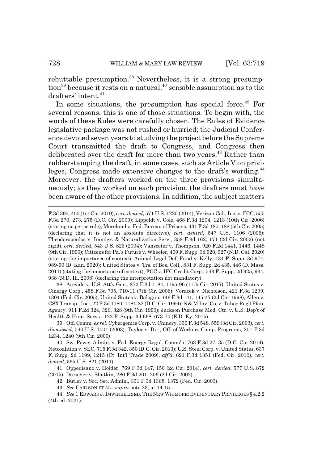rebuttable presumption.<sup>38</sup> Nevertheless, it is a strong presump- $\frac{1}{2}$  tion<sup>39</sup> because it rests on a natural,<sup>40</sup> sensible assumption as to the drafters' intent. $41$ 

In some situations, the presumption has special force. $42$  For several reasons, this is one of those situations. To begin with, the words of these Rules were carefully chosen. The Rules of Evidence legislative package was not rushed or hurried; the Judicial Conference devoted seven years to studying the project before the Supreme Court transmitted the draft to Congress, and Congress then deliberated over the draft for more than two years.<sup>43</sup> Rather than rubberstamping the draft, in some cases, such as Article V on privileges, Congress made extensive changes to the draft's wording.<sup>44</sup> Moreover, the drafters worked on the three provisions simultaneously; as they worked on each provision, the drafters must have been aware of the other provisions. In addition, the subject matters

38. Arevalo v. U.S. Att'y Gen., 872 F.3d 1184, 1195-96 (11th Cir. 2017); United States v. Cinergy Corp., 458 F.3d 705, 710-11 (7th Cir. 2006); Voracek v. Nicholson, 421 F.3d 1299, 1304 (Fed. Cir. 2005); United States v. Balogun, 146 F.3d 141, 145-47 (2d Cir. 1998); Allen v. CSX Transp., Inc., 22 F.3d 1180, 1181-82 (D.C. Cir. 1994); S & M Inv. Co. v. Tahoe Reg'l Plan. Agency, 911 F.2d 324, 326, 328 (9th Cir. 1990); Jackson Purchase Med. Ctr. v. U.S. Dep't of Health & Hum. Servs., 122 F. Supp. 3d 668, 673-74 (E.D. Ky. 2015).

39. Off. Comm. *ex rel*. Cybergenics Corp. v. Chinery, 330 F.3d 548, 559 (3d Cir. 2003), *cert. dismissed*, 540 U.S. 1001 (2003); Taylor v. Dir., Off. of Workers Comp. Programs, 201 F.3d 1234, 1240 (9th Cir. 2000).

40. Sw. Power Admin. v. Fed. Energy Regul. Comm'n, 763 F.3d 27, 35 (D.C. Cir. 2014); Netcoalition v. SEC, 715 F.3d 342, 350 (D.C. Cir. 2013); U.S. Steel Corp. v. United States, 637 F. Supp. 2d 1199, 1215 (Ct. Int'l Trade 2009), *aff'd*, 621 F.3d 1351 (Fed. Cir. 2010), *cert. denied*, 565 U.S. 821 (2011).

41. Oppedisano v. Holder, 769 F.3d 147, 150 (2d Cir. 2014), *cert. denied*, 577 U.S. 872 (2015); Drescher v. Shatkin, 280 F.3d 201, 206 (2d Cir. 2002).

42. Butler v. Soc. Sec. Admin., 331 F.3d 1368, 1372 (Fed. Cir. 2003).

43. *See* CARLSON ET AL., *supra* note 23, at 14-15.

44. *See* 1 EDWARD J. IMWINKELRIED, THE NEW WIGMORE: EVIDENTIARY PRIVILEGES § 4.2.2 (4th ed. 2021).

F.3d 395, 400 (1st Cir. 2010), *cert. denied*, 571 U.S. 1220 (2014); Verizon Cal., Inc. v. FCC, 555 F.3d 270, 273, 275 (D.C. Cir. 2009); Lippoldt v. Cole, 468 F.3d 1204, 1213 (10th Cir. 2006) (stating no per se rule); Moreland v. Fed. Bureau of Prisons, 431 F.3d 180, 188 (5th Cir. 2005) (declaring that it is not an absolute directive), *cert. denied*, 547 U.S. 1106 (2006); Theodoropoulos v. Immigr. & Naturalization Serv., 358 F.3d 162, 171 (2d Cir. 2002) (not rigid), *cert. denied*, 543 U.S. 823 (2004); Vanscoter v. Thompson, 920 F.2d 1441, 1446, 1448 (9th Cir. 1990); Citizens for Pa.'s Future v. Wheeler, 469 F. Supp. 3d 920, 927 (N.D. Cal. 2020) (stating the importance of context); Animal Legal Def. Fund v. Kelly, 434 F. Supp. 3d 974, 989-90 (D. Kan. 2020); United States v. Trs. of Bos. Coll., 831 F. Supp. 2d 435, 446 (D. Mass. 2011) (stating the importance of context); FCC v. IFC Credit Corp., 543 F. Supp. 2d 925, 934, 938 (N.D. Ill. 2008) (declaring the interpretation not mandatory).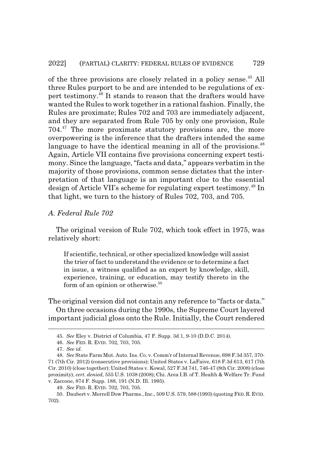of the three provisions are closely related in a policy sense.<sup>45</sup> All three Rules purport to be and are intended to be regulations of expert testimony. $^{46}$  It stands to reason that the drafters would have wanted the Rules to work together in a rational fashion. Finally, the Rules are proximate; Rules 702 and 703 are immediately adjacent, and they are separated from Rule 705 by only one provision, Rule 704.47 The more proximate statutory provisions are, the more overpowering is the inference that the drafters intended the same language to have the identical meaning in all of the provisions.<sup>48</sup> Again, Article VII contains five provisions concerning expert testimony. Since the language, "facts and data," appears verbatim in the majority of those provisions, common sense dictates that the interpretation of that language is an important clue to the essential design of Article VII's scheme for regulating expert testimony.49 In that light, we turn to the history of Rules 702, 703, and 705.

#### *A. Federal Rule 702*

The original version of Rule 702, which took effect in 1975, was relatively short:

If scientific, technical, or other specialized knowledge will assist the trier of fact to understand the evidence or to determine a fact in issue, a witness qualified as an expert by knowledge, skill, experience, training, or education, may testify thereto in the form of an opinion or otherwise. $50$ 

The original version did not contain any reference to "facts or data." On three occasions during the 1990s, the Supreme Court layered important judicial gloss onto the Rule. Initially, the Court rendered

<sup>45.</sup> *See* Eley v. District of Columbia, 47 F. Supp. 3d 1, 9-10 (D.D.C. 2014).

<sup>46.</sup> *See* FED. R. EVID. 702, 703, 705.

<sup>47.</sup> *See id.*

<sup>48.</sup> *See* State Farm Mut. Auto. Ins. Co. v. Comm'r of Internal Revenue, 698 F.3d 357, 370- 71 (7th Cir. 2012) (consecutive provisions); United States v. LaFaive, 618 F.3d 613, 617 (7th Cir. 2010) (close together); United States v. Kowal, 527 F.3d 741, 746-47 (8th Cir. 2008) (close proximity), *cert. denied*, 555 U.S. 1038 (2008); Chi. Area I.B. of T. Health & Welfare Tr. Fund v. Zaccone, 874 F. Supp. 188, 191 (N.D. Ill. 1995).

<sup>49.</sup> *See* FED. R. EVID. 702, 703, 705.

<sup>50.</sup> Daubert v. Merrell Dow Pharms., Inc., 509 U.S. 579, 588 (1993) (quoting FED.R.EVID. 702).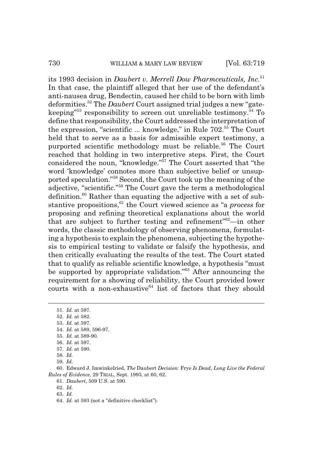#### 730 WILLIAM & MARY LAW REVIEW [Vol. 63:719

its 1993 decision in *Daubert v. Merrell Dow Pharmceuticals, Inc.*<sup>51</sup> In that case, the plaintiff alleged that her use of the defendant's anti-nausea drug, Bendectin, caused her child to be born with limb deformities.52 The *Daubert* Court assigned trial judges a new "gatekeeping"<sup>53</sup> responsibility to screen out unreliable testimony.<sup>54</sup> To define that responsibility, the Court addressed the interpretation of the expression, "scientific  $\ldots$  knowledge," in Rule 702.<sup>55</sup> The Court held that to serve as a basis for admissible expert testimony, a purported scientific methodology must be reliable.<sup>56</sup> The Court reached that holding in two interpretive steps. First, the Court considered the noun, "knowledge."<sup>57</sup> The Court asserted that "the word 'knowledge' connotes more than subjective belief or unsupported speculation."58 Second, the Court took up the meaning of the adjective, "scientific."59 The Court gave the term a methodological definition.60 Rather than equating the adjective with a set of substantive propositions,<sup>61</sup> the Court viewed science as "a *process* for proposing and refining theoretical explanations about the world that are subject to further testing and refinement<sup> $n=62$ </sup>—in other words, the classic methodology of observing phenomena, formulating a hypothesis to explain the phenomena, subjecting the hypothesis to empirical testing to validate or falsify the hypothesis, and then critically evaluating the results of the test. The Court stated that to qualify as reliable scientific knowledge, a hypothesis "must be supported by appropriate validation."<sup>63</sup> After announcing the requirement for a showing of reliability, the Court provided lower courts with a non-exhaustive<sup>64</sup> list of factors that they should

54. *Id.* at 589, 596-97.

57. *Id.* at 590.

<sup>51.</sup> *Id.* at 597.

<sup>52.</sup> *Id.* at 582.

<sup>53.</sup> *Id.* at 597.

<sup>55.</sup> *Id.* at 589-90.

<sup>56.</sup> *Id.* at 597.

<sup>58.</sup> *Id.*

<sup>59.</sup> *Id.*

<sup>60.</sup> Edward J. Imwinkelried, *The* Daubert *Decision:* Frye *Is Dead, Long Live the Federal Rules of Evidence*, 29 TRIAL, Sept. 1993, at 60, 62.

<sup>61.</sup> *Daubert*, 509 U.S. at 590.

<sup>62.</sup> *Id.*

<sup>63.</sup> *Id.*

<sup>64.</sup> *Id.* at 593 (not a "definitive checklist").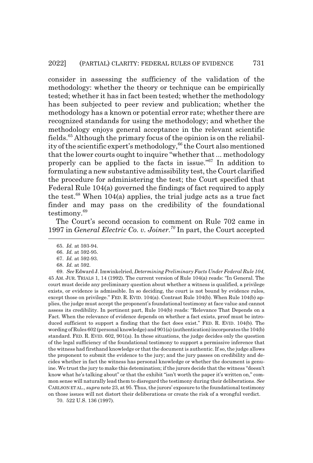consider in assessing the sufficiency of the validation of the methodology: whether the theory or technique can be empirically tested; whether it has in fact been tested; whether the methodology has been subjected to peer review and publication; whether the methodology has a known or potential error rate; whether there are recognized standands for using the methodology; and whether the methodology enjoys general acceptance in the relevant scientific fields.65 Although the primary focus of the opinion is on the reliability of the scientific expert's methodology,<sup>66</sup> the Court also mentioned that the lower courts ought to inquire "whether that ... methodology properly can be applied to the facts in issue."67 In addition to formulating a new substantive admissibility test, the Court clarified the procedure for administering the test; the Court specified that Federal Rule 104(a) governed the findings of fact required to apply the test. $68$  When 104(a) applies, the trial judge acts as a true fact finder and may pass on the credibility of the foundational testimony.<sup>69</sup>

The Court's second occasion to comment on Rule 702 came in 1997 in *General Electric Co. v. Joiner.70* In part, the Court accepted

70. 522 U.S. 136 (1997).

<sup>65.</sup> *Id.* at 593-94.

<sup>66.</sup> *Id.* at 592-95.

<sup>67.</sup> *Id.* at 592-93.

<sup>68.</sup> *Id.* at 592.

<sup>69.</sup> *See* Edward J. Imwinkelried, *Determining Preliminary Facts Under Federal Rule 104*, 45 AM. JUR. TRIALS 1, 14 (1992). The current version of Rule 104(a) reads: "In General. The court must decide any preliminary question about whether a witness is qualified, a privilege exists, or evidence is admissible. In so deciding, the court is not bound by evidence rules, except those on privilege." FED. R. EVID. 104(a). Contrast Rule 104(b). When Rule 104(b) applies, the judge must accept the proponent's foundational testimony at face value and cannot assess its credibility. In pertinent part, Rule 104(b) reads: "Relevance That Depends on a Fact. When the relevance of evidence depends on whether a fact exists, proof must be introduced sufficient to support a finding that the fact does exist." FED. R. EVID. 104(b). The wording of Rules 602 (personal knowledge) and 901(a) (authentication) incorporates the 104(b) standard. FED. R. EVID. 602, 901(a). In these situations, the judge decides only the question of the legal sufficiency of the foundational testimony to support a permissive inference that the witness had firsthand knowledge or that the document is authentic. If so, the judge allows the proponent to submit the evidence to the jury; and the jury passes on credibility and decides whether in fact the witness has personal knowledge or whether the document is genuine. We trust the jury to make this detemination; if the jurors decide that the witness "doesn't know what he's talking about" or that the exhibit "isn't worth the paper it's written on," common sense will naturally lead them to disregard the testimony during their deliberations. *See* CARLSON ET AL., *supra* note 23, at 95. Thus, the jurors' exposure to the foundational testimony on those issues will not distort their deliberations or create the risk of a wrongful verdict.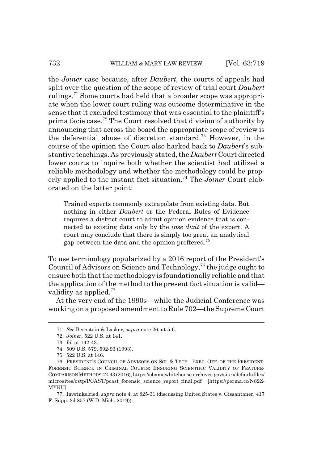#### 732 WILLIAM & MARY LAW REVIEW [Vol. 63:719]

the *Joiner* case because, after *Daubert,* the courts of appeals had split over the question of the scope of review of trial court *Daubert* rulings.<sup>71</sup> Some courts had held that a broader scope was appropriate when the lower court ruling was outcome determinative in the sense that it excluded testimony that was essential to the plaintiff's prima facie case.<sup>72</sup> The Court resolved that division of authority by announcing that across the board the appropriate scope of review is the deferential abuse of discretion standard.73 However, in the course of the opinion the Court also harked back to *Daubert*'s substantive teachings. As previously stated, the *Daubert* Court directed lower courts to inquire both whether the scientist had utilized a reliable methodology and whether the methodology could be properly applied to the instant fact situation.74 The *Joiner* Court elaborated on the latter point:

Trained experts commonly extrapolate from existing data. But nothing in either *Daubert* or the Federal Rules of Evidence requires a district court to admit opinion evidence that is connected to existing data only by the *ipse dixit* of the expert. A court may conclude that there is simply too great an analytical gap between the data and the opinion proffered.<sup>75</sup>

To use terminology popularized by a 2016 report of the President's Council of Advisors on Science and Technology,  $76$  the judge ought to ensure both that the methodology is foundationally reliable and that the application of the method to the present fact situation is valid validity as applied. $77$ 

At the very end of the 1990s—while the Judicial Conference was working on a proposed amendment to Rule 702—the Supreme Court

<sup>71.</sup> *See* Bernstein & Lasker, *supra* note 26, at 5-6.

<sup>72.</sup> *Joiner*, 522 U.S. at 141.

<sup>73.</sup> *Id.* at 142-43.

<sup>74. 509</sup> U.S. 579, 592-93 (1993).

<sup>75. 522</sup> U.S. at 146.

<sup>76.</sup> PRESIDENT'S COUNCIL OF ADVISORS ON SCI.&TECH., EXEC. OFF. OF THE PRESIDENT, FORENSIC SCIENCE IN CRIMINAL COURTS: ENSURING SCIENTIFIC VALIDITY OF FEATURE-COMPARISON METHODS 42-43 (2016), https://obamawhitehouse.archives.gov/sites/default/files/ microsites/ostp/PCAST/pcast\_forensic\_science\_report\_final.pdf [https://perma.cc/N82Z-MYKU].

<sup>77.</sup> Imwinkelried, *supra* note 4, at 825-31 (discussing United States v. Gissantaner, 417 F. Supp. 3d 857 (W.D. Mich. 2019)).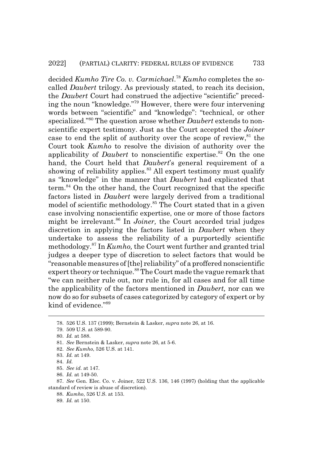decided *Kumho Tire Co. v. Carmichael*. <sup>78</sup> *Kumho* completes the socalled *Daubert* trilogy. As previously stated, to reach its decision, the *Daubert* Court had construed the adjective "scientific" preceding the noun "knowledge."79 However, there were four intervening words between "scientific" and "knowledge": "technical, or other specialized."80 The question arose whether *Daubert* extends to nonscientific expert testimony. Just as the Court accepted the *Joiner* case to end the split of authority over the scope of review, $81$  the Court took *Kumho* to resolve the division of authority over the applicability of *Daubert* to nonscientific expertise.<sup>82</sup> On the one hand, the Court held that *Daubert*'s general requirement of a showing of reliability applies.<sup>83</sup> All expert testimony must qualify as "knowledge" in the manner that *Daubert* had explicated that term.84 On the other hand, the Court recognized that the specific factors listed in *Daubert* were largely derived from a traditional model of scientific methodology.85 The Court stated that in a given case involving nonscientific expertise, one or more of those factors might be irrelevant.<sup>86</sup> In *Joiner*, the Court accorded trial judges discretion in applying the factors listed in *Daubert* when they undertake to assess the reliability of a purportedly scientific methodology.87 In *Kumho,* the Court went further and granted trial judges a deeper type of discretion to select factors that would be "reasonable measures of [the] reliability" of a proffered nonscientific expert theory or technique.<sup>88</sup> The Court made the vague remark that "we can neither rule out, nor rule in, for all cases and for all time the applicability of the factors mentioned in *Daubert,* nor can we now do so for subsets of cases categorized by category of expert or by kind of evidence."89

<sup>78. 526</sup> U.S. 137 (1999); Bernstein & Lasker, *supra* note 26, at 16.

<sup>79. 509</sup> U.S. at 589-90.

<sup>80.</sup> *Id.* at 588.

<sup>81.</sup> *See* Bernstein & Lasker, *supra* note 26, at 5-6.

<sup>82.</sup> *See Kumho*, 526 U.S. at 141.

<sup>83.</sup> *Id.* at 149.

<sup>84.</sup> *Id.*

<sup>85.</sup> *See id.* at 147.

<sup>86.</sup> *Id.* at 149-50.

<sup>87.</sup> *See* Gen. Elec. Co. v. Joiner, 522 U.S. 136, 146 (1997) (holding that the applicable standard of review is abuse of discretion).

<sup>88.</sup> *Kumho*, 526 U.S. at 153.

<sup>89.</sup> *Id.* at 150.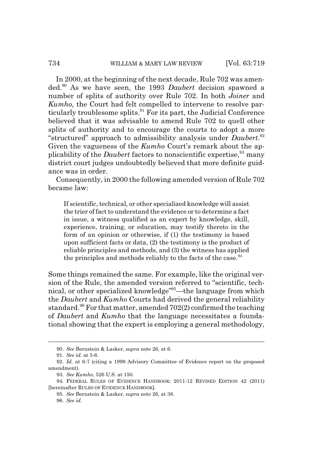#### 734 WILLIAM & MARY LAW REVIEW [Vol. 63:719

In 2000, at the beginning of the next decade, Rule 702 was amended.90 As we have seen, the 1993 *Daubert* decision spawned a number of splits of authority over Rule 702. In both *Joiner* and *Kumho,* the Court had felt compelled to intervene to resolve particularly troublesome splits.<sup>91</sup> For its part, the Judicial Conference believed that it was advisable to amend Rule 702 to quell other splits of authority and to encourage the courts to adopt a more "structured" approach to admissibility analysis under *Daubert*. 92 Given the vagueness of the *Kumho* Court's remark about the applicability of the *Daubert* factors to nonscientific expertise,<sup>93</sup> many district court judges undoubtedly believed that more definite guidance was in order.

Consequently, in 2000 the following amended version of Rule 702 became law:

If scientific, technical, or other specialized knowledge will assist the trier of fact to understand the evidence or to determine a fact in issue, a witness qualified as an expert by knowledge, skill, experience, training, or education, may testify thereto in the form of an opinion or otherwise, if (1) the testimony is based upon sufficient facts or data, (2) the testimony is the product of reliable principles and methods, and (3) the witness has applied the principles and methods reliably to the facts of the case.  $94$ 

Some things remained the same. For example, like the original version of the Rule, the amended version referred to "scientific, technical, or other specialized knowledge"95—the language from which the *Daubert* and *Kumho* Courts had derived the general reliability standard.<sup>96</sup> For that matter, amended  $702(2)$  confirmed the teaching of *Daubert* and *Kumho* that the language necessitates a foundational showing that the expert is employing a general methodology,

<sup>90.</sup> *See* Bernstein & Lasker, *supra* note 26, at 6.

<sup>91.</sup> *See id.* at 5-6.

<sup>92.</sup> *Id.* at 6-7 (citing a 1999 Advisory Committee of Evidence report on the proposed amendment).

<sup>93.</sup> *See Kumho*, 526 U.S. at 150.

<sup>94.</sup> FEDERAL RULES OF EVIDENCE HANDBOOK: 2011-12 REVISED EDITION 42 (2011) [hereinafter RULES OF EVIDENCE HANDBOOK].

<sup>95.</sup> *See* Bernstein & Lasker, *supra* note 26, at 38.

<sup>96.</sup> *See id.*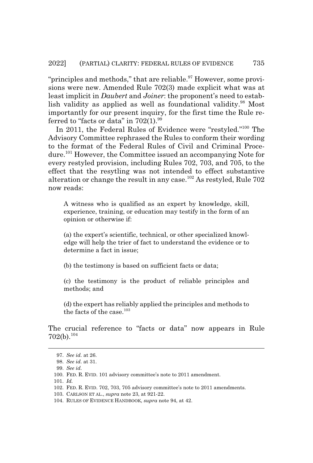"principles and methods," that are reliable. $97$  However, some provisions were new. Amended Rule 702(3) made explicit what was at least implicit in *Daubert* and *Joiner*: the proponent's need to establish validity as applied as well as foundational validity.<sup>98</sup> Most importantly for our present inquiry, for the first time the Rule referred to "facts or data" in  $702(1).^{99}$ 

In 2011, the Federal Rules of Evidence were "restyled."100 The Advisory Committee rephrased the Rules to conform their wording to the format of the Federal Rules of Civil and Criminal Procedure.101 However, the Committee issued an accompanying Note for every restyled provision, including Rules 702, 703, and 705, to the effect that the resytling was not intended to effect substantive alteration or change the result in any case.<sup>102</sup> As restyled, Rule  $702$ now reads:

A witness who is qualified as an expert by knowledge, skill, experience, training, or education may testify in the form of an opinion or otherwise if:

(a) the expert's scientific, technical, or other specialized knowledge will help the trier of fact to understand the evidence or to determine a fact in issue;

(b) the testimony is based on sufficient facts or data;

(c) the testimony is the product of reliable principles and methods; and

(d) the expert has reliably applied the principles and methods to the facts of the case. $103$ 

The crucial reference to "facts or data" now appears in Rule  $702(b).^{104}$ 

<sup>97.</sup> *See id.* at 26.

<sup>98.</sup> *See id.* at 31.

<sup>99.</sup> *See id.*

<sup>100.</sup> FED. R. EVID. 101 advisory committee's note to 2011 amendment.

<sup>101.</sup> *Id.*

<sup>102.</sup> FED. R. EVID. 702, 703, 705 advisory committee's note to 2011 amendments.

<sup>103.</sup> CARLSON ET AL., *supra* note 23, at 921-22.

<sup>104.</sup> RULES OF EVIDENCE HANDBOOK, *supra* note 94, at 42.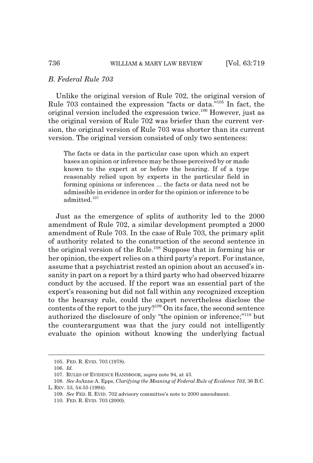#### *B. Federal Rule 703*

Unlike the original version of Rule 702, the original version of Rule 703 contained the expression "facts or data."105 In fact, the original version included the expression twice.106 However, just as the original version of Rule 702 was briefer than the current version, the original version of Rule 703 was shorter than its current version. The original version consisted of only two sentences:

The facts or data in the particular case upon which an expert bases an opinion or inference may be those perceived by or made known to the expert at or before the hearing. If of a type reasonably relied upon by experts in the particular field in forming opinions or inferences ... the facts or data need not be admissible in evidence in order for the opinion or inference to be admitted.<sup>107</sup>

Just as the emergence of splits of authority led to the 2000 amendment of Rule 702, a similar development prompted a 2000 amendment of Rule 703. In the case of Rule 703, the primary split of authority related to the construction of the second sentence in the original version of the Rule.108 Suppose that in forming his or her opinion, the expert relies on a third party's report. For instance, assume that a psychiatrist rested an opinion about an accused's insanity in part on a report by a third party who had observed bizarre conduct by the accused. If the report was an essential part of the expert's reasoning but did not fall within any recognized exception to the hearsay rule, could the expert nevertheless disclose the contents of the report to the jury?109 On its face, the second sentence authorized the disclosure of only "the opinion or inference;"110 but the counterargument was that the jury could not intelligently evaluate the opinion without knowing the underlying factual

<sup>105.</sup> FED. R. EVID. 703 (1978).

<sup>106.</sup> *Id.*

<sup>107.</sup> RULES OF EVIDENCE HANDBOOK, *supra* note 94, at 43.

<sup>108.</sup> *See* JoAnne A. Epps, *Clarifying the Meaning of Federal Rule of Evidence 703*, 36 B.C. L. REV. 53, 54-55 (1994).

<sup>109.</sup> *See* FED. R. EVID. 702 advisory committee's note to 2000 amendment.

<sup>110.</sup> FED. R. EVID. 703 (2000).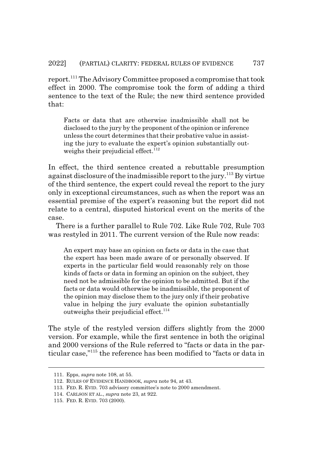report.111 The Advisory Committee proposed a compromise that took effect in 2000. The compromise took the form of adding a third sentence to the text of the Rule; the new third sentence provided that:

Facts or data that are otherwise inadmissible shall not be disclosed to the jury by the proponent of the opinion or inference unless the court determines that their probative value in assisting the jury to evaluate the expert's opinion substantially outweighs their prejudicial effect.<sup>112</sup>

In effect, the third sentence created a rebuttable presumption against disclosure of the inadmissible report to the jury.113 By virtue of the third sentence, the expert could reveal the report to the jury only in exceptional circumstances, such as when the report was an essential premise of the expert's reasoning but the report did not relate to a central, disputed historical event on the merits of the case.

There is a further parallel to Rule 702. Like Rule 702, Rule 703 was restyled in 2011. The current version of the Rule now reads:

An expert may base an opinion on facts or data in the case that the expert has been made aware of or personally observed. If experts in the particular field would reasonably rely on those kinds of facts or data in forming an opinion on the subject, they need not be admissible for the opinion to be admitted. But if the facts or data would otherwise be inadmissible, the proponent of the opinion may disclose them to the jury only if their probative value in helping the jury evaluate the opinion substantially outweighs their prejudicial effect. $114$ 

The style of the restyled version differs slightly from the 2000 version. For example, while the first sentence in both the original and 2000 versions of the Rule referred to "facts or data in the particular case,"115 the reference has been modified to "facts or data in

<sup>111.</sup> Epps, *supra* note 108, at 55.

<sup>112.</sup> RULES OF EVIDENCE HANDBOOK, *supra* note 94, at 43.

<sup>113.</sup> FED. R. EVID. 703 advisory committee's note to 2000 amendment.

<sup>114.</sup> CARLSON ET AL., *supra* note 23, at 922.

<sup>115.</sup> FED. R. EVID. 703 (2000).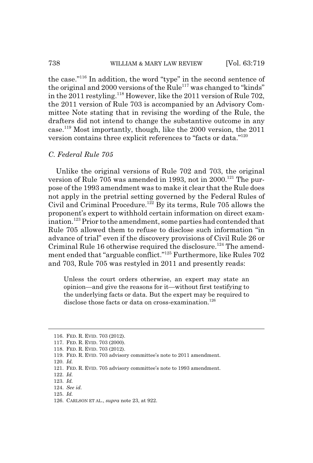the case."116 In addition, the word "type" in the second sentence of the original and 2000 versions of the Rule<sup>117</sup> was changed to "kinds" in the 2011 restyling.<sup>118</sup> However, like the 2011 version of Rule 702, the 2011 version of Rule 703 is accompanied by an Advisory Committee Note stating that in revising the wording of the Rule, the drafters did not intend to change the substantive outcome in any case.119 Most importantly, though, like the 2000 version, the 2011 version contains three explicit references to "facts or data."120

#### *C. Federal Rule 705*

Unlike the original versions of Rule 702 and 703, the original version of Rule 705 was amended in 1993, not in 2000.<sup>121</sup> The purpose of the 1993 amendment was to make it clear that the Rule does not apply in the pretrial setting governed by the Federal Rules of Civil and Criminal Procedure.122 By its terms, Rule 705 allows the proponent's expert to withhold certain information on direct examination.<sup>123</sup> Prior to the amendment, some parties had contended that Rule 705 allowed them to refuse to disclose such information "in advance of trial" even if the discovery provisions of Civil Rule 26 or Criminal Rule 16 otherwise required the disclosure.<sup>124</sup> The amendment ended that "arguable conflict."125 Furthermore, like Rules 702 and 703, Rule 705 was restyled in 2011 and presently reads:

Unless the court orders otherwise, an expert may state an opinion—and give the reasons for it—without first testifying to the underlying facts or data. But the expert may be required to disclose those facts or data on cross-examination.<sup>126</sup>

- 118. FED. R. EVID. 703 (2012).
- 119. FED. R. EVID. 703 advisory committee's note to 2011 amendment.
- 120. *Id.*

- 125. *Id.*
- 126. CARLSON ET AL., *supra* note 23, at 922.

<sup>116.</sup> FED. R. EVID. 703 (2012).

<sup>117.</sup> FED. R. EVID. 703 (2000).

<sup>121.</sup> FED. R. EVID. 705 advisory committee's note to 1993 amendment.

<sup>122.</sup> *Id.*

<sup>123.</sup> *Id.*

<sup>124.</sup> *See id.*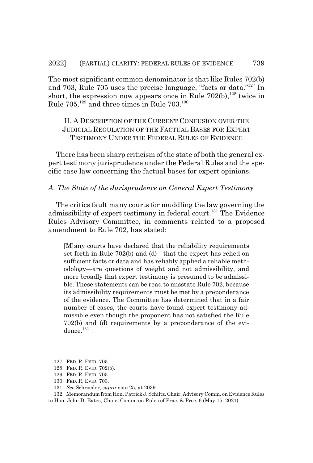The most significant common denominator is that like Rules 702(b) and 703, Rule 705 uses the precise language, "facts or data."127 In short, the expression now appears once in Rule  $702(b)$ ,  $^{128}$  twice in Rule  $705^{129}$  and three times in Rule  $703^{130}$ 

#### II. A DESCRIPTION OF THE CURRENT CONFUSION OVER THE JUDICIAL REGULATION OF THE FACTUAL BASES FOR EXPERT TESTIMONY UNDER THE FEDERAL RULES OF EVIDENCE

There has been sharp criticism of the state of both the general expert testimony jurisprudence under the Federal Rules and the specific case law concerning the factual bases for expert opinions.

#### *A. The State of the Jurisprudence on General Expert Testimony*

The critics fault many courts for muddling the law governing the admissibility of expert testimony in federal court.<sup>131</sup> The Evidence Rules Advisory Committee, in comments related to a proposed amendment to Rule 702, has stated:

[M]any courts have declared that the reliability requirements set forth in Rule 702(b) and (d)—that the expert has relied on sufficient facts or data and has reliably applied a reliable methodology—are questions of weight and not admissibility, and more broadly that expert testimony is presumed to be admissible. These statements can be read to misstate Rule 702, because its admissibility requirements must be met by a preponderance of the evidence. The Committee has determined that in a fair number of cases, the courts have found expert testimony admissible even though the proponent has not satisfied the Rule 702(b) and (d) requirements by a preponderance of the evidence.132

<sup>127.</sup> FED. R. EVID. 705.

<sup>128.</sup> FED. R. EVID. 702(b).

<sup>129.</sup> FED. R. EVID. 705.

<sup>130.</sup> FED. R. EVID. 703.

<sup>131.</sup> *See* Schroeder, *supra* note 25, at 2039.

<sup>132.</sup> Memorandum from Hon. Patrick J. Schiltz, Chair, Advisory Comm. on Evidence Rules to Hon. John D. Bates, Chair, Comm. on Rules of Prac. & Proc. 6 (May 15, 2021).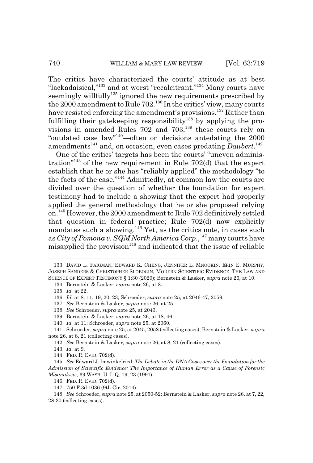The critics have characterized the courts' attitude as at best "lackadaisical,"<sup>133</sup> and at worst "recalcitrant."<sup>134</sup> Many courts have seemingly willfully<sup>135</sup> ignored the new requirements prescribed by the 2000 amendment to Rule 702.136 In the critics' view, many courts have resisted enforcing the amendment's provisions.<sup>137</sup> Rather than fulfilling their gatekeeping responsibility<sup>138</sup> by applying the provisions in amended Rules  $702$  and  $703$ ,  $^{139}$  these courts rely on "outdated case law"140—often on decisions antedating the 2000 amendments<sup>141</sup> and, on occasion, even cases predating *Daubert*.<sup>142</sup>

One of the critics' targets has been the courts' "uneven administration<sup>"143</sup> of the new requirement in Rule 702(d) that the expert establish that he or she has "reliably applied" the methodology "to the facts of the case."<sup>144</sup> Admittedly, at common law the courts are divided over the question of whether the foundation for expert testimony had to include a showing that the expert had properly applied the general methodology that he or she proposed relying on.145 However, the 2000 amendment to Rule 702 definitively settled that question in federal practice; Rule 702(d) now explicitly mandates such a showing. $146$  Yet, as the critics note, in cases such as *City of Pomona v. SQM North America Corp.*,<sup>147</sup> many courts have misapplied the provision<sup>148</sup> and indicated that the issue of reliable

<sup>133.</sup> DAVID L. FAIGMAN, EDWARD K. CHENG, JENNIFER L. MNOOKIN, ERIN E. MURPHY, JOSEPH SANDERS & CHRISTOPHER SLOBOGIN, MODERN SCIENTIFIC EVIDENCE: THE LAW AND SCIENCE OF EXPERT TESTIMONY § 1:30 (2020); Bernstein & Lasker, *supra* note 26, at 10.

<sup>134.</sup> Bernstein & Lasker, *supra* note 26, at 8.

<sup>135.</sup> *Id.* at 22.

<sup>136.</sup> *Id.* at 8, 11, 19, 20, 23; Schroeder, *supra* note 25, at 2046-47, 2059.

<sup>137.</sup> *See* Bernstein & Lasker, *supra* note 26, at 25.

<sup>138.</sup> *See* Schroeder, *supra* note 25, at 2043.

<sup>139.</sup> Bernstein & Lasker, *supra* note 26, at 18, 46.

<sup>140.</sup> *Id.* at 11; Schroeder, *supra* note 25, at 2060.

<sup>141.</sup> Schroeder, *supra* note 25, at 2045, 2058 (collecting cases); Bernstein & Lasker, *supra* note 26, at 8, 21 (collecting cases).

<sup>142.</sup> *See* Bernstein & Lasker, *supra* note 26, at 8, 21 (collecting cases).

<sup>143.</sup> *Id.* at 9.

<sup>144.</sup> FED. R. EVID. 702(d).

<sup>145.</sup> *See* Edward J. Imwinkelried, *The Debate in the DNA Cases over the Foundation for the Admission of Scientific Evidence: The Importance of Human Error as a Cause of Forensic Misanalysis*, 69 WASH. U. L.Q. 19, 23 (1991).

<sup>146.</sup> FED. R. EVID. 702(d).

<sup>147. 750</sup> F.3d 1036 (9th Cir. 2014).

<sup>148.</sup> *See* Schroeder, *supra* note 25, at 2050-52; Bernstein & Lasker, *supra* note 26, at 7, 22, 28-30 (collecting cases).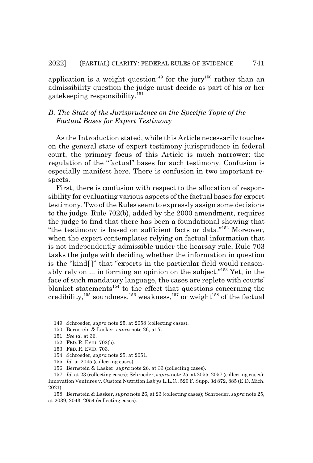application is a weight question<sup>149</sup> for the jury<sup>150</sup> rather than an admissibility question the judge must decide as part of his or her gatekeeping responsibility.<sup>151</sup>

#### *B. The State of the Jurisprudence on the Specific Topic of the Factual Bases for Expert Testimony*

As the Introduction stated, while this Article necessarily touches on the general state of expert testimony jurisprudence in federal court, the primary focus of this Article is much narrower: the regulation of the "factual" bases for such testimony. Confusion is especially manifest here. There is confusion in two important respects.

First, there is confusion with respect to the allocation of responsibility for evaluating various aspects of the factual bases for expert testimony. Two of the Rules seem to expressly assign some decisions to the judge. Rule 702(b), added by the 2000 amendment, requires the judge to find that there has been a foundational showing that "the testimony is based on sufficient facts or data."152 Moreover, when the expert contemplates relying on factual information that is not independently admissible under the hearsay rule, Rule 703 tasks the judge with deciding whether the information in question is the "kind[ ]" that "experts in the particular field would reasonably rely on ... in forming an opinion on the subject."153 Yet, in the face of such mandatory language, the cases are replete with courts' blanket statements<sup>154</sup> to the effect that questions concerning the credibility,<sup>155</sup> soundness,<sup>156</sup> weakness,<sup>157</sup> or weight<sup>158</sup> of the factual

<sup>149.</sup> Schroeder, *supra* note 25, at 2058 (collecting cases).

<sup>150.</sup> Bernstein & Lasker, *supra* note 26, at 7.

<sup>151.</sup> *See id.* at 36.

<sup>152.</sup> FED. R. EVID. 702(b).

<sup>153.</sup> FED. R. EVID. 703.

<sup>154.</sup> Schroeder, *supra* note 25, at 2051.

<sup>155.</sup> *Id.* at 2045 (collecting cases).

<sup>156.</sup> Bernstein & Lasker, *supra* note 26, at 33 (collecting cases).

<sup>157.</sup> *Id.* at 23 (collecting cases); Schroeder, *supra* note 25, at 2055, 2057 (collecting cases); Innovation Ventures v. Custom Nutrition Lab'ys L.L.C., 520 F. Supp. 3d 872, 885 (E.D. Mich. 2021).

<sup>158.</sup> Bernstein & Lasker, *supra* note 26, at 23 (collecting cases); Schroeder, *supra* note 25, at 2039, 2043, 2054 (collecting cases).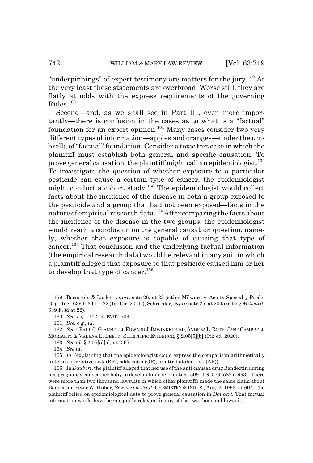"underpinnings" of expert testimony are matters for the jury.159 At the very least these statements are overbroad. Worse still, they are flatly at odds with the express requirements of the governing  $Rules<sup>160</sup>$ 

Second—and, as we shall see in Part III, even more importantly—there is confusion in the cases as to what is a "factual" foundation for an expert opinion.<sup>161</sup> Many cases consider two very different types of information—apples and oranges—under the umbrella of "factual" foundation. Consider a toxic tort case in which the plaintiff must establish both general and specific causation. To prove general causation, the plaintiff might call an epidemiologist.<sup>162</sup> To investigate the question of whether exposure to a particular pesticide can cause a certain type of cancer, the epidemiologist might conduct a cohort study.<sup>163</sup> The epidemiologist would collect facts about the incidence of the disease in both a group exposed to the pesticide and a group that had not been exposed—facts in the nature of empirical research data.164 After comparing the facts about the incidence of the disease in the two groups, the epidemiologist would reach a conclusion on the general causation question, namely, whether that exposure is capable of causing that type of cancer.165 That conclusion and the underlying factual information (the empirical research data) would be relevant in any suit in which a plaintiff alleged that exposure to that pesticide caused him or her to develop that type of cancer.<sup>166</sup>

<sup>159.</sup> Bernstein & Lasker, *supra* note 26, at 33 (citing Milward v. Acuity Specialty Prods. Grp., Inc., 639 F.3d 11, 22 (1st Cir. 2011)); Schroeder, *supra* note 25, at 2045 (citing *Milward*, 639 F.3d at 22).

<sup>160.</sup> *See, e.g.*, FED. R. EVID. 703.

<sup>161.</sup> *See, e.g.*, *id.*

<sup>162.</sup> *See* 1 PAUL C.GIANNELLI,EDWARD J.IMWINKELRIED,ANDREA L.ROTH,JANE CAMPBELL MORIARTY & VALENA E. BEETY, SCIENTIFIC EVIDENCE, § 2.05[5][b] (6th ed. 2020).

<sup>163.</sup> *See id.* § 2.05[5][a], at 2-67.

<sup>164.</sup> *See id.*

<sup>165.</sup> *Id.* (explaining that the epidemiologist could express the comparison arithmetically in terms of relative risk (RR), odds ratio (OR), or attributable risk (AR)).

<sup>166.</sup> In *Daubert*, the plaintiff alleged that her use of the anti-nausea drug Bendectin during her pregnancy caused her baby to develop limb deformities. 509 U.S. 579, 582 (1993). There were more than two thousand lawsuits in which other plaintiffs made the same claim about Bendectin. Peter W. Huber, *Science on Trial*, CHEMISTRY & INDUS., Aug. 2, 1993, at 604. The plaintiff relied on epidemiological data to prove general causation in *Daubert.* That factual information would have been equally relevant in any of the two thousand lawsuits.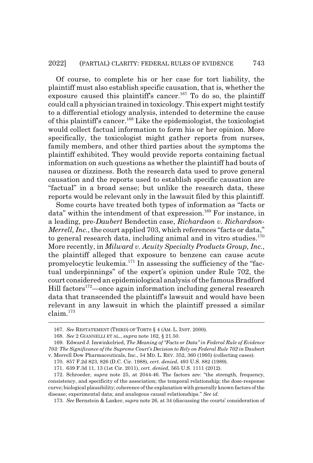Of course, to complete his or her case for tort liability, the plaintiff must also establish specific causation, that is, whether the exposure caused this plaintiff's cancer.<sup>167</sup> To do so, the plaintiff could call a physician trained in toxicology. This expert might testify to a differential etiology analysis, intended to determine the cause of this plaintiff's cancer.168 Like the epidemiologist, the toxicologist would collect factual information to form his or her opinion. More specifically, the toxicologist might gather reports from nurses, family members, and other third parties about the symptoms the plaintiff exhibited. They would provide reports containing factual information on such questions as whether the plaintiff had bouts of nausea or dizziness. Both the research data used to prove general causation and the reports used to establish specific causation are "factual" in a broad sense; but unlike the research data, these reports would be relevant only in the lawsuit filed by this plaintiff.

Some courts have treated both types of information as "facts or data" within the intendment of that expression.<sup>169</sup> For instance, in a leading, pre-*Daubert* Bendectin case, *Richardson v. Richardson-Merrell, Inc.*, the court applied 703, which references "facts or data," to general research data, including animal and in vitro studies. $170$ More recently, in *Milward v. Acuity Specialty Products Group, Inc.*, the plaintiff alleged that exposure to benzene can cause acute promyelocytic leukemia.171 In assessing the sufficiency of the "factual underpinnings" of the expert's opinion under Rule 702, the court considered an epidemiological analysis of the famous Bradford Hill factors<sup>172</sup>—once again information including general research data that transcended the plaintiff's lawsuit and would have been relevant in any lawsuit in which the plaintiff pressed a similar claim.<sup>173</sup>

173. *See* Bernstein & Lasker, *supra* note 26, at 34 (discussing the courts' consideration of

<sup>167.</sup> *See* RESTATEMENT (THIRD) OF TORTS § 4 (AM. L. INST. 2000).

<sup>168.</sup> *See* 2 GIANNELLI ET AL., *supra* note 162, § 21.50.

<sup>169.</sup> Edward J. Imwinkelried, *The Meaning of "Facts or Data" in Federal Rule of Evidence 703: The Significance of the Supreme Court's Decision to Rely on Federal Rule 702 in* Daubert v. Merrell Dow Pharmaceuticals, Inc., 54 MD. L. REV. 352, 360 (1995) (collecting cases).

<sup>170. 857</sup> F.2d 823, 826 (D.C. Cir. 1988), *cert. denied*, 493 U.S. 882 (1989).

<sup>171. 639</sup> F.3d 11, 13 (1st Cir. 2011), *cert. denied*, 565 U.S. 1111 (2012).

<sup>172.</sup> Schroeder, *supra* note 25, at 2044-46. The factors are: "the strength, frequency, consistency, and specificity of the association; the temporal relationship; the dose-response curve; biological plausibility; coherence of the explanation with generally known factors of the disease; experimental data; and analogous causal relationships." *See id.*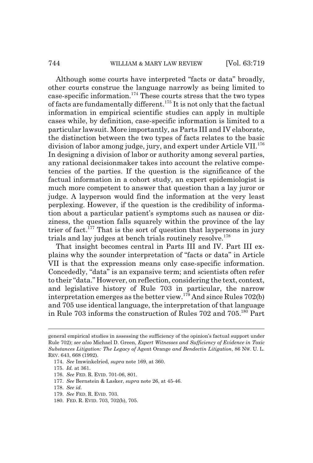Although some courts have interpreted "facts or data" broadly, other courts construe the language narrowly as being limited to case-specific information.174 These courts stress that the two types of facts are fundamentally different.<sup>175</sup> It is not only that the factual information in empirical scientific studies can apply in multiple cases while, by definition, case-specific information is limited to a particular lawsuit. More importantly, as Parts III and IV elaborate, the distinction between the two types of facts relates to the basic division of labor among judge, jury, and expert under Article VII.<sup>176</sup> In designing a division of labor or authority among several parties, any rational decisionmaker takes into account the relative competencies of the parties. If the question is the significance of the factual information in a cohort study, an expert epidemiologist is much more competent to answer that question than a lay juror or judge. A layperson would find the information at the very least perplexing. However, if the question is the credibility of information about a particular patient's symptoms such as nausea or dizziness, the question falls squarely within the province of the lay trier of fact.<sup>177</sup> That is the sort of question that laypersons in jury trials and lay judges at bench trials routinely resolve.<sup>178</sup>

That insight becomes central in Parts III and IV. Part III explains why the sounder interpretation of "facts or data" in Article VII is that the expression means only case-specific information. Concededly, "data" is an expansive term; and scientists often refer to their "data." However, on reflection, considering the text, context, and legislative history of Rule 703 in particular, the narrow interpretation emerges as the better view.<sup>179</sup> And since Rules 702(b) and 705 use identical language, the interpretation of that language in Rule 703 informs the construction of Rules 702 and 705.180 Part

general empirical studies in assessing the sufficiency of the opinion's factual support under Rule 702); *see also* Michael D. Green, *Expert Witnesses and Sufficiency of Evidence in Toxic Substances Litigation: The Legacy of* Agent Orange *and Bendectin Litigation*, 86 NW. U. L. REV. 643, 668 (1992).

<sup>174.</sup> *See* Imwinkelried, *supra* note 169, at 360.

<sup>175.</sup> *Id.* at 361.

<sup>176.</sup> *See* FED. R. EVID. 701-06, 801.

<sup>177.</sup> *See* Bernstein & Lasker, *supra* note 26, at 45-46.

<sup>178.</sup> *See id.*

<sup>179.</sup> *See* FED. R. EVID. 703.

<sup>180.</sup> FED. R. EVID. 703, 702(b), 705.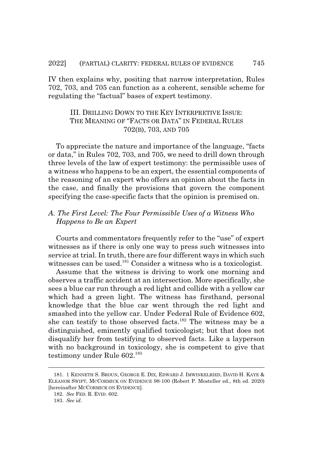IV then explains why, positing that narrow interpretation, Rules 702, 703, and 705 can function as a coherent, sensible scheme for regulating the "factual" bases of expert testimony.

#### III. DRILLING DOWN TO THE KEY INTERPRETIVE ISSUE: THE MEANING OF "FACTS OR DATA" IN FEDERAL RULES 702(B), 703, AND 705

To appreciate the nature and importance of the language, "facts or data," in Rules 702, 703, and 705, we need to drill down through three levels of the law of expert testimony: the permissible uses of a witness who happens to be an expert, the essential components of the reasoning of an expert who offers an opinion about the facts in the case, and finally the provisions that govern the component specifying the case-specific facts that the opinion is premised on.

#### *A. The First Level: The Four Permissible Uses of a Witness Who Happens to Be an Expert*

Courts and commentators frequently refer to the "use" of expert witnesses as if there is only one way to press such witnesses into service at trial. In truth, there are four different ways in which such witnesses can be used.<sup>181</sup> Consider a witness who is a toxicologist.

Assume that the witness is driving to work one morning and observes a traffic accident at an intersection. More specifically, she sees a blue car run through a red light and collide with a yellow car which had a green light. The witness has firsthand, personal knowledge that the blue car went through the red light and smashed into the yellow car. Under Federal Rule of Evidence 602, she can testify to those observed facts.182 The witness may be a distinguished, eminently qualified toxicologist; but that does not disqualify her from testifying to observed facts. Like a layperson with no background in toxicology, she is competent to give that testimony under Rule 602.<sup>183</sup>

<sup>181. 1</sup> KENNETH S. BROUN, GEORGE E. DIX, EDWARD J. IMWINKELRIED, DAVID H. KAYE & ELEANOR SWIFT, MCCORMICK ON EVIDENCE 98-100 (Robert P. Mosteller ed., 8th ed. 2020) [hereinafter MCCORMICK ON EVIDENCE].

<sup>182.</sup> *See* FED. R. EVID. 602.

<sup>183.</sup> *See id.*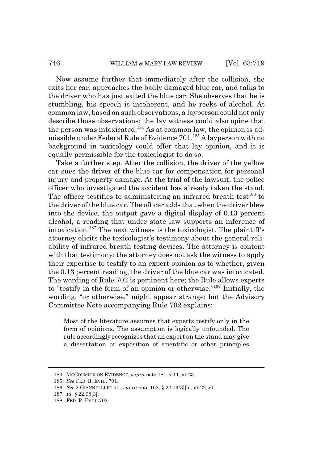Now assume further that immediately after the collision, she exits her car, approaches the badly damaged blue car, and talks to the driver who has just exited the blue car. She observes that he is stumbling, his speech is incoherent, and he reeks of alcohol. At common law, based on such observations, a layperson could not only describe those observations; the lay witness could also opine that the person was intoxicated.<sup>184</sup> As at common law, the opinion is admissible under Federal Rule of Evidence 701.185 A layperson with no background in toxicology could offer that lay opinion, and it is equally permissible for the toxicologist to do so.

Take a further step. After the collision, the driver of the yellow car sues the driver of the blue car for compensation for personal injury and property damage. At the trial of the lawsuit, the police officer who investigated the accident has already taken the stand. The officer testifies to administering an infrared breath test $^{186}$  to the driver of the blue car. The officer adds that when the driver blew into the device, the output gave a digital display of 0.13 percent alcohol, a reading that under state law supports an inference of intoxication.187 The next witness is the toxicologist. The plaintiff's attorney elicits the toxicologist's testimony about the general reliability of infrared breath testing devices. The attorney is content with that testimony; the attorney does not ask the witness to apply their expertise to testify to an expert opinion as to whether, given the 0.13 percent reading, the driver of the blue car was intoxicated. The wording of Rule 702 is pertinent here; the Rule allows experts to "testify in the form of an opinion or otherwise."188 Initially, the wording, "or otherwise," might appear strange; but the Advisory Committee Note accompanying Rule 702 explains:

Most of the literature assumes that experts testify only in the form of opinions. The assumption is logically unfounded. The rule accordingly recognizes that an expert on the stand may give a dissertation or exposition of scientific or other principles

<sup>184.</sup> MCCORMICK ON EVIDENCE, *supra* note 181, § 11, at 23.

<sup>185.</sup> *See* FED. R. EVID. 701.

<sup>186.</sup> *See* 2 GIANNELLI ET AL., *supra* note 162, § 22.03[3][b], at 22-50.

<sup>187.</sup> *Id.* § 22.08[3].

<sup>188.</sup> FED. R. EVID. 702.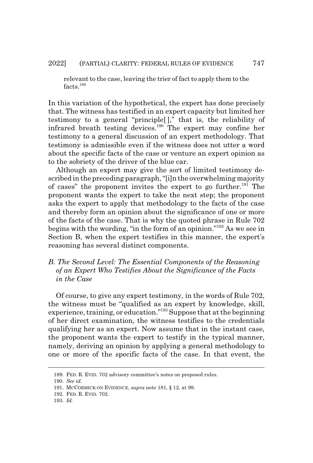relevant to the case, leaving the trier of fact to apply them to the facts.<sup>189</sup>

In this variation of the hypothetical, the expert has done precisely that. The witness has testified in an expert capacity but limited her testimony to a general "principle[ ]," that is, the reliability of infrared breath testing devices.190 The expert may confine her testimony to a general discussion of an expert methodology. That testimony is admissible even if the witness does not utter a word about the specific facts of the case or venture an expert opinion as to the sobriety of the driver of the blue car.

Although an expert may give the sort of limited testimony described in the preceding paragraph, "[i]n the overwhelming majority of cases" the proponent invites the expert to go further.<sup>191</sup> The proponent wants the expert to take the next step; the proponent asks the expert to apply that methodology to the facts of the case and thereby form an opinion about the significance of one or more of the facts of the case. That is why the quoted phrase in Rule 702 begins with the wording, "in the form of an opinion."192 As we see in Section B, when the expert testifies in this manner, the expert's reasoning has several distinct components.

#### *B. The Second Level: The Essential Components of the Reasoning of an Expert Who Testifies About the Significance of the Facts in the Case*

Of course, to give any expert testimony, in the words of Rule 702, the witness must be "qualified as an expert by knowledge, skill, experience, training, or education."193 Suppose that at the beginning of her direct examination, the witness testifies to the credentials qualifying her as an expert. Now assume that in the instant case, the proponent wants the expert to testify in the typical manner, namely, deriving an opinion by applying a general methodology to one or more of the specific facts of the case. In that event, the

<sup>189.</sup> FED. R. EVID. 702 advisory committee's notes on proposed rules.

<sup>190.</sup> *See id.*

<sup>191.</sup> MCCORMICK ON EVIDENCE, *supra* note 181, § 12, at 99.

<sup>192.</sup> FED. R. EVID. 702.

<sup>193.</sup> *Id.*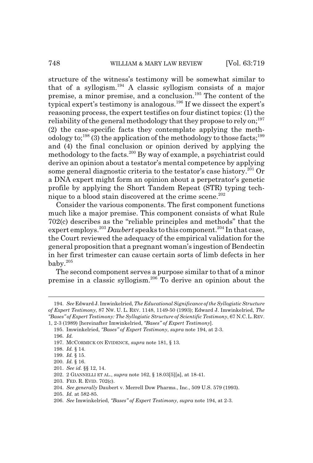structure of the witness's testimony will be somewhat similar to that of a syllogism.194 A classic syllogism consists of a major premise, a minor premise, and a conclusion.195 The content of the typical expert's testimony is analogous.<sup>196</sup> If we dissect the expert's reasoning process, the expert testifies on four distinct topics: (1) the reliability of the general methodology that they propose to rely on; $^{197}$ (2) the case-specific facts they contemplate applying the methodology to;<sup>198</sup> $(3)$  the application of the methodology to those facts;<sup>199</sup> and (4) the final conclusion or opinion derived by applying the methodology to the facts.<sup>200</sup> By way of example, a psychiatrist could derive an opinion about a testator's mental competence by applying some general diagnostic criteria to the testator's case history.<sup>201</sup> Or a DNA expert might form an opinion about a perpetrator's genetic profile by applying the Short Tandem Repeat (STR) typing technique to a blood stain discovered at the crime scene.<sup>202</sup>

Consider the various components. The first component functions much like a major premise. This component consists of what Rule 702(c) describes as the "reliable principles and methods" that the expert employs.<sup>203</sup> *Daubert* speaks to this component.204 In that case, the Court reviewed the adequacy of the empirical validation for the general proposition that a pregnant woman's ingestion of Bendectin in her first trimester can cause certain sorts of limb defects in her baby.<sup>205</sup>

The second component serves a purpose similar to that of a minor premise in a classic syllogism.206 To derive an opinion about the

<sup>194.</sup> *See* Edward J. Imwinkelried, *The Educational Significance of the Syllogistic Structure of Expert Testimony*, 87 NW. U. L. REV. 1148, 1149-50 (1993); Edward J. Imwinkelried, *The "Bases" of Expert Testimony: The Syllogistic Structure of Scientific Testimony*, 67 N.C.L. REV.

<sup>1, 2-3 (1989) [</sup>hereinafter Imwinkelried, *"Bases" of Expert Testimony*].

<sup>195.</sup> Imwinkelried, *"Bases" of Expert Testimony*, *supra* note 194, at 2-3. 196. *Id.*

<sup>197.</sup> MCCORMICK ON EVIDENCE, *supra* note 181, § 13.

<sup>198.</sup> *Id.* § 14.

<sup>199.</sup> *Id.* § 15.

<sup>200.</sup> *Id.* § 16.

<sup>201.</sup> *See id.* §§ 12, 14.

<sup>202. 2</sup> GIANNELLI ET AL., *supra* note 162, § 18.03[5][a], at 18-41.

<sup>203.</sup> FED. R. EVID. 702(c).

<sup>204.</sup> *See generally* Daubert v. Merrell Dow Pharms., Inc., 509 U.S. 579 (1993).

<sup>205.</sup> *Id.* at 582-85.

<sup>206.</sup> *See* Imwinkelried, *"Bases" of Expert Testimony*, *supra* note 194, at 2-3.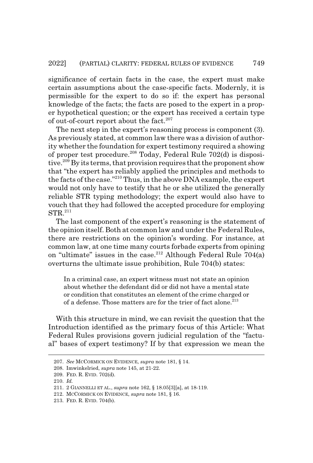significance of certain facts in the case, the expert must make certain assumptions about the case-specific facts. Modernly, it is permissible for the expert to do so if: the expert has personal knowledge of the facts; the facts are posed to the expert in a proper hypothetical question; or the expert has received a certain type of out-of-court report about the fact. $207$ 

The next step in the expert's reasoning process is component (3). As previously stated, at common law there was a division of authority whether the foundation for expert testimony required a showing of proper test procedure.<sup>208</sup> Today, Federal Rule 702(d) is dispositive.<sup>209</sup> By its terms, that provision requires that the proponent show that "the expert has reliably applied the principles and methods to the facts of the case."210 Thus, in the above DNA example, the expert would not only have to testify that he or she utilized the generally reliable STR typing methodology; the expert would also have to vouch that they had followed the accepted procedure for employing STR.<sup>211</sup>

The last component of the expert's reasoning is the statement of the opinion itself. Both at common law and under the Federal Rules, there are restrictions on the opinion's wording. For instance, at common law, at one time many courts forbade experts from opining on "ultimate" issues in the case.<sup>212</sup> Although Federal Rule  $704(a)$ overturns the ultimate issue prohibition, Rule 704(b) states:

In a criminal case, an expert witness must not state an opinion about whether the defendant did or did not have a mental state or condition that constitutes an element of the crime charged or of a defense. Those matters are for the trier of fact alone.<sup>213</sup>

With this structure in mind, we can revisit the question that the Introduction identified as the primary focus of this Article: What Federal Rules provisions govern judicial regulation of the "factual" bases of expert testimony? If by that expression we mean the

<sup>207.</sup> *See* MCCORMICK ON EVIDENCE, *supra* note 181, § 14.

<sup>208.</sup> Imwinkelried, *supra* note 145, at 21-22.

<sup>209.</sup> FED. R. EVID. 702(d).

<sup>210.</sup> *Id.*

<sup>211. 2</sup> GIANNELLI ET AL., *supra* note 162, § 18.05[3][a], at 18-119.

<sup>212.</sup> MCCORMICK ON EVIDENCE, *supra* note 181, § 16.

<sup>213.</sup> FED. R. EVID. 704(b).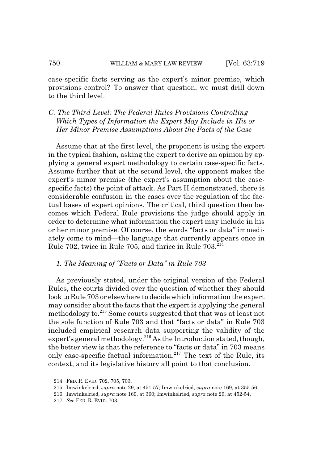case-specific facts serving as the expert's minor premise, which provisions control? To answer that question, we must drill down to the third level.

*C. The Third Level: The Federal Rules Provisions Controlling Which Types of Information the Expert May Include in His or Her Minor Premise Assumptions About the Facts of the Case*

Assume that at the first level, the proponent is using the expert in the typical fashion, asking the expert to derive an opinion by applying a general expert methodology to certain case-specific facts. Assume further that at the second level, the opponent makes the expert's minor premise (the expert's assumption about the casespecific facts) the point of attack. As Part II demonstrated, there is considerable confusion in the cases over the regulation of the factual bases of expert opinions. The critical, third question then becomes which Federal Rule provisions the judge should apply in order to determine what information the expert may include in his or her minor premise. Of course, the words "facts or data" immediately come to mind—the language that currently appears once in Rule 702, twice in Rule 705, and thrice in Rule 703.<sup>214</sup>

#### *1. The Meaning of "Facts or Data" in Rule 703*

As previously stated, under the original version of the Federal Rules, the courts divided over the question of whether they should look to Rule 703 or elsewhere to decide which information the expert may consider about the facts that the expert is applying the general methodology to.<sup>215</sup> Some courts suggested that that was at least not the sole function of Rule 703 and that "facts or data" in Rule 703 included empirical research data supporting the validity of the expert's general methodology. $2^{16}$  As the Introduction stated, though, the better view is that the reference to "facts or data" in 703 means only case-specific factual information.217 The text of the Rule, its context, and its legislative history all point to that conclusion.

<sup>214.</sup> FED. R. EVID. 702, 705, 703.

<sup>215.</sup> Imwinkelried, *supra* note 29, at 451-57; Imwinkelried, *supra* note 169, at 355-56.

<sup>216.</sup> Imwinkelried, *supra* note 169, at 360; Imwinkelried, *supra* note 29, at 452-54.

<sup>217.</sup> *See* FED. R. EVID. 703.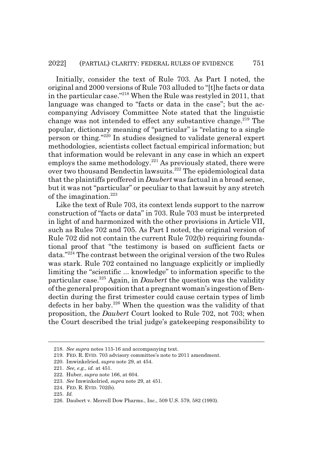Initially, consider the text of Rule 703. As Part I noted, the original and 2000 versions of Rule 703 alluded to "[t]he facts or data in the particular case."218 When the Rule was restyled in 2011, that language was changed to "facts or data in the case"; but the accompanying Advisory Committee Note stated that the linguistic change was not intended to effect any substantive change.<sup>219</sup> The popular, dictionary meaning of "particular" is "relating to a single person or thing."220 In studies designed to validate general expert methodologies, scientists collect factual empirical information; but that information would be relevant in any case in which an expert employs the same methodology.<sup>221</sup> As previously stated, there were over two thousand Bendectin lawsuits.<sup>222</sup> The epidemiological data that the plaintiffs proffered in *Daubert* was factual in a broad sense, but it was not "particular" or peculiar to that lawsuit by any stretch of the imagination. $223$ 

Like the text of Rule 703, its context lends support to the narrow construction of "facts or data" in 703. Rule 703 must be interpreted in light of and harmonized with the other provisions in Article VII, such as Rules 702 and 705. As Part I noted, the original version of Rule 702 did not contain the current Rule 702(b) requiring foundational proof that "the testimony is based on sufficient facts or data."224 The contrast between the original version of the two Rules was stark. Rule 702 contained no language explicitly or impliedly limiting the "scientific ... knowledge" to information specific to the particular case.225 Again, in *Daubert* the question was the validity of the general proposition that a pregnant woman's ingestion of Bendectin during the first trimester could cause certain types of limb defects in her baby.<sup>226</sup> When the question was the validity of that proposition, the *Daubert* Court looked to Rule 702, not 703; when the Court described the trial judge's gatekeeping responsibility to

<sup>218.</sup> *See supra* notes 115-16 and accompanying text.

<sup>219.</sup> FED. R. EVID. 703 advisory committee's note to 2011 amendment.

<sup>220.</sup> Imwinkelried, *supra* note 29, at 454.

<sup>221.</sup> *See, e.g.*, *id.* at 451.

<sup>222.</sup> Huber, *supra* note 166, at 604.

<sup>223.</sup> *See* Imwinkelried, *supra* note 29, at 451.

<sup>224.</sup> FED. R. EVID. 702(b).

<sup>225.</sup> *Id.*

<sup>226.</sup> Daubert v. Merrell Dow Pharms., Inc., 509 U.S. 579, 582 (1993).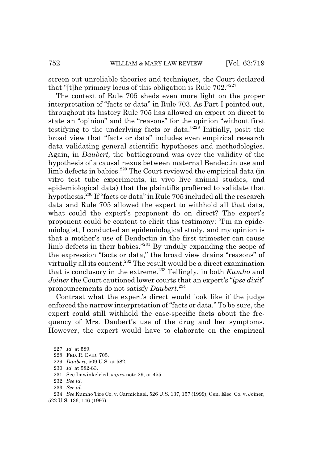screen out unreliable theories and techniques, the Court declared that "[t]he primary locus of this obligation is Rule 702."<sup>227</sup>

The context of Rule 705 sheds even more light on the proper interpretation of "facts or data" in Rule 703. As Part I pointed out, throughout its history Rule 705 has allowed an expert on direct to state an "opinion" and the "reasons" for the opinion "without first testifying to the underlying facts or data."228 Initially, posit the broad view that "facts or data" includes even empirical research data validating general scientific hypotheses and methodologies. Again, in *Daubert,* the battleground was over the validity of the hypothesis of a causal nexus between maternal Bendectin use and limb defects in babies.<sup>229</sup> The Court reviewed the empirical data (in vitro test tube experiments, in vivo live animal studies, and epidemiological data) that the plaintiffs proffered to validate that hypothesis.230 If "facts or data" in Rule 705 included all the research data and Rule 705 allowed the expert to withhold all that data, what could the expert's proponent do on direct? The expert's proponent could be content to elicit this testimony: "I'm an epidemiologist, I conducted an epidemiological study, and my opinion is that a mother's use of Bendectin in the first trimester can cause limb defects in their babies."231 By unduly expanding the scope of the expression "facts or data," the broad view drains "reasons" of virtually all its content.<sup>232</sup> The result would be a direct examination that is conclusory in the extreme.233 Tellingly, in both *Kumho* and *Joiner* the Court cautioned lower courts that an expert's "*ipse dixit*" pronouncements do not satisfy *Daubert.*<sup>234</sup>

Contrast what the expert's direct would look like if the judge enforced the narrow interpretation of "facts or data." To be sure, the expert could still withhold the case-specific facts about the frequency of Mrs. Daubert's use of the drug and her symptoms. However, the expert would have to elaborate on the empirical

<sup>227.</sup> *Id.* at 589.

<sup>228.</sup> FED. R. EVID. 705.

<sup>229.</sup> *Daubert*, 509 U.S. at 582.

<sup>230.</sup> *Id.* at 582-83.

<sup>231.</sup> See Imwinkelried, *supra* note 29, at 455.

<sup>232.</sup> *See id.*

<sup>233.</sup> *See id.*

<sup>234.</sup> *See* Kumho Tire Co. v. Carmichael, 526 U.S. 137, 157 (1999); Gen. Elec. Co. v. Joiner, 522 U.S. 136, 146 (1997).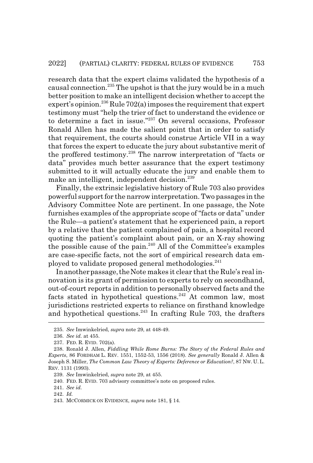research data that the expert claims validated the hypothesis of a causal connection.<sup>235</sup> The upshot is that the jury would be in a much better position to make an intelligent decision whether to accept the expert's opinion.<sup>236</sup> Rule 702(a) imposes the requirement that expert testimony must "help the trier of fact to understand the evidence or to determine a fact in issue."237 On several occasions, Professor Ronald Allen has made the salient point that in order to satisfy that requirement, the courts should construe Article VII in a way that forces the expert to educate the jury about substantive merit of the proffered testimony.<sup>238</sup> The narrow interpretation of "facts or data" provides much better assurance that the expert testimony submitted to it will actually educate the jury and enable them to make an intelligent, independent decision.<sup>239</sup>

Finally, the extrinsic legislative history of Rule 703 also provides powerful support for the narrow interpretation. Two passages in the Advisory Committee Note are pertinent. In one passage, the Note furnishes examples of the appropriate scope of "facts or data" under the Rule—a patient's statement that he experienced pain, a report by a relative that the patient complained of pain, a hospital record quoting the patient's complaint about pain, or an X-ray showing the possible cause of the pain.<sup>240</sup> All of the Committee's examples are case-specific facts, not the sort of empirical research data employed to validate proposed general methodologies.<sup>241</sup>

In another passage, the Note makes it clear that the Rule's real innovation is its grant of permission to experts to rely on secondhand, out-of-court reports in addition to personally observed facts and the facts stated in hypothetical questions.<sup>242</sup> At common law, most jurisdictions restricted experts to reliance on firsthand knowledge and hypothetical questions.<sup>243</sup> In crafting Rule 703, the drafters

<sup>235.</sup> *See* Imwinkelried, *supra* note 29, at 448-49.

<sup>236.</sup> *See id.* at 455.

<sup>237.</sup> FED. R. EVID. 702(a).

<sup>238.</sup> Ronald J. Allen, *Fiddling While Rome Burns: The Story of the Federal Rules and Experts*, 86 FORDHAM L. REV. 1551, 1552-53, 1556 (2018). *See generally* Ronald J. Allen & Joseph S. Miller, *The Common Law Theory of Experts: Deference or Education?*, 87 NW. U. L. REV. 1131 (1993).

<sup>239.</sup> *See* Imwinkelried, *supra* note 29, at 455.

<sup>240.</sup> FED. R. EVID. 703 advisory committee's note on proposed rules.

<sup>241.</sup> *See id.*

<sup>242.</sup> *Id.*

<sup>243.</sup> MCCORMICK ON EVIDENCE, *supra* note 181, § 14.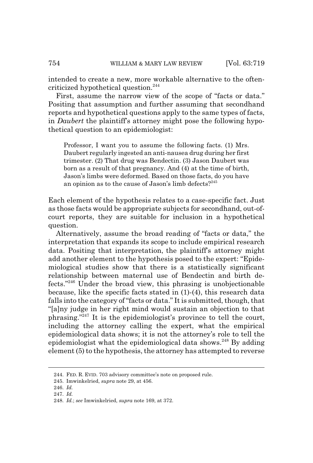intended to create a new, more workable alternative to the oftencriticized hypothetical question.<sup>244</sup>

First, assume the narrow view of the scope of "facts or data." Positing that assumption and further assuming that secondhand reports and hypothetical questions apply to the same types of facts, in *Daubert* the plaintiff's attorney might pose the following hypothetical question to an epidemiologist:

Professor, I want you to assume the following facts. (1) Mrs. Daubert regularly ingested an anti-nausea drug during her first trimester. (2) That drug was Bendectin. (3) Jason Daubert was born as a result of that pregnancy. And (4) at the time of birth, Jason's limbs were deformed. Based on those facts, do you have an opinion as to the cause of Jason's limb defects?<sup>245</sup>

Each element of the hypothesis relates to a case-specific fact. Just as those facts would be appropriate subjects for secondhand, out-ofcourt reports, they are suitable for inclusion in a hypothetical question.

Alternatively, assume the broad reading of "facts or data," the interpretation that expands its scope to include empirical research data. Positing that interpretation, the plaintiff's attorney might add another element to the hypothesis posed to the expert: "Epidemiological studies show that there is a statistically significant relationship between maternal use of Bendectin and birth defects."246 Under the broad view, this phrasing is unobjectionable because, like the specific facts stated in (1)-(4), this research data falls into the category of "facts or data." It is submitted, though, that "[a]ny judge in her right mind would sustain an objection to that phrasing."247 It is the epidemiologist's province to tell the court, including the attorney calling the expert, what the empirical epidemiological data shows; it is not the attorney's role to tell the epidemiologist what the epidemiological data shows.248 By adding element (5) to the hypothesis, the attorney has attempted to reverse

<sup>244.</sup> FED. R. EVID. 703 advisory committee's note on proposed rule.

<sup>245.</sup> Imwinkelried, *supra* note 29, at 456.

<sup>246.</sup> *Id.*

<sup>247.</sup> *Id.*

<sup>248.</sup> *Id.*; *see* Imwinkelried, *supra* note 169, at 372.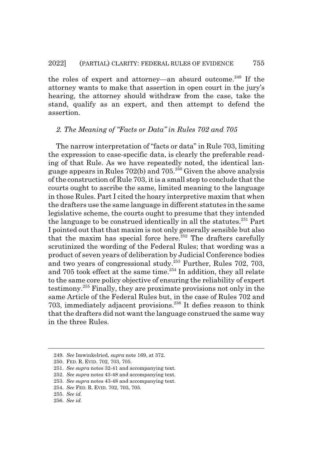the roles of expert and attorney—an absurd outcome.<sup>249</sup> If the attorney wants to make that assertion in open court in the jury's hearing, the attorney should withdraw from the case, take the stand, qualify as an expert, and then attempt to defend the assertion.

#### *2. The Meaning of "Facts or Data" in Rules 702 and 705*

The narrow interpretation of "facts or data" in Rule 703, limiting the expression to case-specific data, is clearly the preferable reading of that Rule. As we have repeatedly noted, the identical language appears in Rules 702(b) and  $705.<sup>250</sup>$  Given the above analysis of the construction of Rule 703, it is a small step to conclude that the courts ought to ascribe the same, limited meaning to the language in those Rules. Part I cited the hoary interpretive maxim that when the drafters use the same language in different statutes in the same legislative scheme, the courts ought to presume that they intended the language to be construed identically in all the statutes.<sup>251</sup> Part I pointed out that that maxim is not only generally sensible but also that the maxim has special force here.<sup>252</sup> The drafters carefully scrutinized the wording of the Federal Rules; that wording was a product of seven years of deliberation by Judicial Conference bodies and two years of congressional study.<sup>253</sup> Further, Rules 702, 703, and 705 took effect at the same time. $254$  In addition, they all relate to the same core policy objective of ensuring the reliability of expert testimony.255 Finally, they are proximate provisions not only in the same Article of the Federal Rules but, in the case of Rules 702 and 703, immediately adjacent provisions. $256$  It defies reason to think that the drafters did not want the language construed the same way in the three Rules.

<sup>249.</sup> *See* Imwinkelried, *supra* note 169, at 372.

<sup>250.</sup> FED. R. EVID. 702, 703, 705.

<sup>251.</sup> *See supra* notes 32-41 and accompanying text.

<sup>252.</sup> *See supra* notes 43-48 and accompanying text.

<sup>253.</sup> *See supra* notes 43-48 and accompanying text.

<sup>254.</sup> *See* FED. R. EVID. 702, 703, 705.

<sup>255.</sup> *See id.*

<sup>256.</sup> *See id.*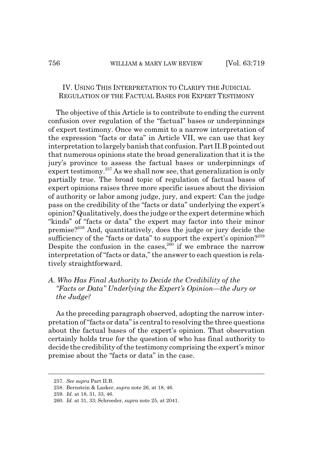#### IV. USING THIS INTERPRETATION TO CLARIFY THE JUDICIAL REGULATION OF THE FACTUAL BASES FOR EXPERT TESTIMONY

The objective of this Article is to contribute to ending the current confusion over regulation of the "factual" bases or underpinnings of expert testimony. Once we commit to a narrow interpretation of the expression "facts or data" in Article VII, we can use that key interpretation to largely banish that confusion. Part II.B pointed out that numerous opinions state the broad generalization that it is the jury's province to assess the factual bases or underpinnings of expert testimony.<sup>257</sup> As we shall now see, that generalization is only partially true. The broad topic of regulation of factual bases of expert opinions raises three more specific issues about the division of authority or labor among judge, jury, and expert: Can the judge pass on the credibility of the "facts or data" underlying the expert's opinion? Qualitatively, does the judge or the expert determine which "kinds" of "facts or data" the expert may factor into their minor premise?258 And, quantitatively, does the judge or jury decide the sufficiency of the "facts or data" to support the expert's opinion?<sup>259</sup> Despite the confusion in the cases,  $260$  if we embrace the narrow interpretation of "facts or data," the answer to each question is relatively straightforward.

#### *A. Who Has Final Authority to Decide the Credibility of the "Facts or Data" Underlying the Expert's Opinion—the Jury or the Judge?*

As the preceding paragraph observed, adopting the narrow interpretation of "facts or data" is central to resolving the three questions about the factual bases of the expert's opinion. That observation certainly holds true for the question of who has final authority to decide the credibility of the testimony comprising the expert's minor premise about the "facts or data" in the case.

<sup>257.</sup> *See supra* Part II.B.

<sup>258.</sup> Bernstein & Lasker, *supra* note 26, at 18, 46.

<sup>259.</sup> *Id.* at 18, 31, 33, 46.

<sup>260.</sup> *Id.* at 31, 33; Schroeder, *supra* note 25, at 2041.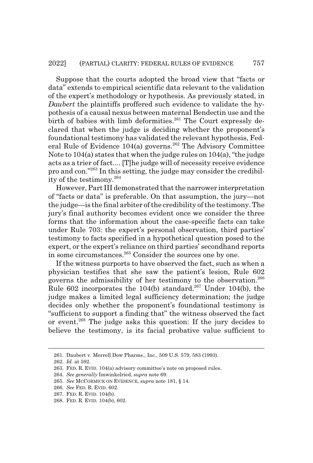Suppose that the courts adopted the broad view that "facts or data" extends to empirical scientific data relevant to the validation of the expert's methodology or hypothesis. As previously stated, in *Daubert* the plaintiffs proffered such evidence to validate the hypothesis of a causal nexus between maternal Bendectin use and the birth of babies with limb deformities.<sup>261</sup> The Court expressly declared that when the judge is deciding whether the proponent's foundational testimony has validated the relevant hypothesis, Federal Rule of Evidence  $104(a)$  governs.<sup>262</sup> The Advisory Committee Note to 104(a) states that when the judge rules on 104(a), "the judge acts as a trier of fact.... [T]he judge will of necessity receive evidence pro and con."263 In this setting, the judge may consider the credibility of the testimony.<sup>264</sup>

However, Part III demonstrated that the narrower interpretation of "facts or data" is preferable. On that assumption, the jury—not the judge—is the final arbiter of the credibility of the testimony. The jury's final authority becomes evident once we consider the three forms that the information about the case-specific facts can take under Rule 703: the expert's personal observation, third parties' testimony to facts specified in a hypothetical question posed to the expert, or the expert's reliance on third parties' secondhand reports in some circumstances.265 Consider the sources one by one.

If the witness purports to have observed the fact, such as when a physician testifies that she saw the patient's lesion, Rule 602 governs the admissibility of her testimony to the observation.<sup>266</sup> Rule 602 incorporates the 104(b) standard.<sup>267</sup> Under 104(b), the judge makes a limited legal sufficiency determination; the judge decides only whether the proponent's foundational testimony is "sufficient to support a finding that" the witness observed the fact or event.268 The judge asks this question: If the jury decides to believe the testimony, is its facial probative value sufficient to

<sup>261.</sup> Daubert v. Merrell Dow Pharms., Inc., 509 U.S. 579, 583 (1993).

<sup>262.</sup> *Id.* at 592.

<sup>263.</sup> FED. R. EVID. 104(a) advisory committee's note on proposed rules.

<sup>264.</sup> *See generally* Imwinkelried, *supra* note 69.

<sup>265.</sup> *See* MCCORMICK ON EVIDENCE, *supra* note 181, § 14.

<sup>266.</sup> *See* FED. R. EVID. 602.

<sup>267.</sup> FED. R. EVID. 104(b).

<sup>268.</sup> FED. R. EVID. 104(b), 602.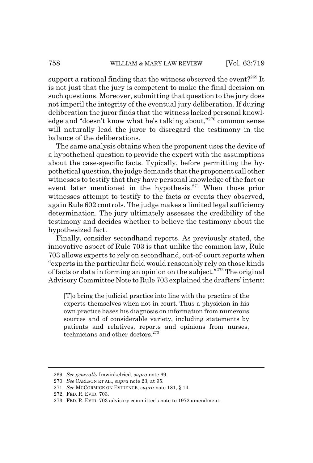support a rational finding that the witness observed the event?<sup>269</sup> It is not just that the jury is competent to make the final decision on such questions. Moreover, submitting that question to the jury does not imperil the integrity of the eventual jury deliberation. If during deliberation the juror finds that the witness lacked personal knowledge and "doesn't know what he's talking about,"<sup>270</sup> common sense will naturally lead the juror to disregard the testimony in the balance of the deliberations.

The same analysis obtains when the proponent uses the device of a hypothetical question to provide the expert with the assumptions about the case-specific facts. Typically, before permitting the hypothetical question, the judge demands that the proponent call other witnesses to testify that they have personal knowledge of the fact or event later mentioned in the hypothesis. $271$  When those prior witnesses attempt to testify to the facts or events they observed, again Rule 602 controls. The judge makes a limited legal sufficiency determination. The jury ultimately assesses the credibility of the testimony and decides whether to believe the testimony about the hypothesized fact.

Finally, consider secondhand reports. As previously stated, the innovative aspect of Rule 703 is that unlike the common law, Rule 703 allows experts to rely on secondhand, out-of-court reports when "experts in the particular field would reasonably rely on those kinds of facts or data in forming an opinion on the subject."272 The original Advisory Committee Note to Rule 703 explained the drafters' intent:

[T]o bring the judicial practice into line with the practice of the experts themselves when not in court. Thus a physician in his own practice bases his diagnosis on information from numerous sources and of considerable variety, including statements by patients and relatives, reports and opinions from nurses, technicians and other doctors.<sup>273</sup>

<sup>269.</sup> *See generally* Imwinkelried, *supra* note 69.

<sup>270.</sup> *See* CARLSON ET AL., *supra* note 23, at 95.

<sup>271.</sup> *See* MCCORMICK ON EVIDENCE, *supra* note 181, § 14.

<sup>272.</sup> FED. R. EVID. 703.

<sup>273.</sup> FED. R. EVID. 703 advisory committee's note to 1972 amendment.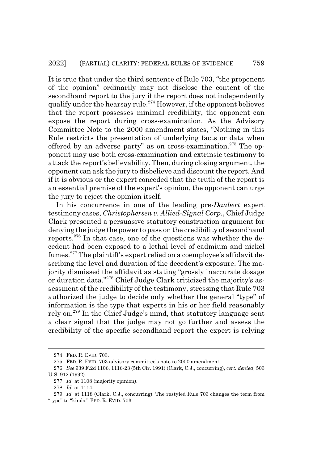It is true that under the third sentence of Rule 703, "the proponent of the opinion" ordinarily may not disclose the content of the secondhand report to the jury if the report does not independently qualify under the hearsay rule.<sup>274</sup> However, if the opponent believes that the report possesses minimal credibility, the opponent can expose the report during cross-examination. As the Advisory Committee Note to the 2000 amendment states, "Nothing in this Rule restricts the presentation of underlying facts or data when offered by an adverse party" as on cross-examination.<sup>275</sup> The opponent may use both cross-examination and extrinsic testimony to attack the report's believability. Then, during closing argument, the opponent can ask the jury to disbelieve and discount the report. And if it is obvious or the expert conceded that the truth of the report is an essential premise of the expert's opinion, the opponent can urge the jury to reject the opinion itself.

In his concurrence in one of the leading pre-*Daubert* expert testimony cases, *Christophersen v. Allied-Signal Corp.*, Chief Judge Clark presented a persuasive statutory construction argument for denying the judge the power to pass on the credibility of secondhand reports.<sup>276</sup> In that case, one of the questions was whether the decedent had been exposed to a lethal level of cadmium and nickel fumes.277 The plaintiff's expert relied on a coemployee's affidavit describing the level and duration of the decedent's exposure. The majority dismissed the affidavit as stating "grossly inaccurate dosage or duration data."278 Chief Judge Clark criticized the majority's assessment of the credibility of the testimony, stressing that Rule 703 authorized the judge to decide only whether the general "type" of information is the type that experts in his or her field reasonably rely on.<sup>279</sup> In the Chief Judge's mind, that statutory language sent a clear signal that the judge may not go further and assess the credibility of the specific secondhand report the expert is relying

<sup>274.</sup> FED. R. EVID. 703.

<sup>275.</sup> FED. R. EVID. 703 advisory committee's note to 2000 amendment.

<sup>276.</sup> *See* 939 F.2d 1106, 1116-23 (5th Cir. 1991) (Clark, C.J., concurring), *cert. denied*, 503 U.S. 912 (1992).

<sup>277.</sup> *Id.* at 1108 (majority opinion).

<sup>278.</sup> *Id.* at 1114.

<sup>279.</sup> *Id.* at 1118 (Clark, C.J., concurring). The restyled Rule 703 changes the term from "type" to "kinds." FED. R. EVID. 703.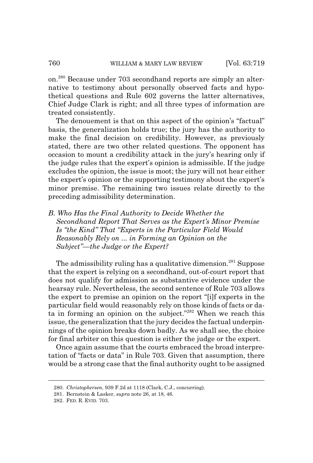on.280 Because under 703 secondhand reports are simply an alternative to testimony about personally observed facts and hypothetical questions and Rule 602 governs the latter alternatives, Chief Judge Clark is right; and all three types of information are treated consistently.

The denouement is that on this aspect of the opinion's "factual" basis, the generalization holds true; the jury has the authority to make the final decision on credibility. However, as previously stated, there are two other related questions. The opponent has occasion to mount a credibility attack in the jury's hearing only if the judge rules that the expert's opinion is admissible. If the judge excludes the opinion, the issue is moot; the jury will not hear either the expert's opinion or the supporting testimony about the expert's minor premise. The remaining two issues relate directly to the preceding admissibility determination.

*B. Who Has the Final Authority to Decide Whether the Secondhand Report That Serves as the Expert's Minor Premise Is "the Kind" That "Experts in the Particular Field Would Reasonably Rely on ... in Forming an Opinion on the Subject"—the Judge or the Expert?*

The admissibility ruling has a qualitative dimension.<sup>281</sup> Suppose that the expert is relying on a secondhand, out-of-court report that does not qualify for admission as substantive evidence under the hearsay rule. Nevertheless, the second sentence of Rule 703 allows the expert to premise an opinion on the report "[i]f experts in the particular field would reasonably rely on those kinds of facts or data in forming an opinion on the subject."282 When we reach this issue, the generalization that the jury decides the factual underpinnings of the opinion breaks down badly. As we shall see, the choice for final arbiter on this question is either the judge or the expert.

Once again assume that the courts embraced the broad interpretation of "facts or data" in Rule 703. Given that assumption, there would be a strong case that the final authority ought to be assigned

<sup>280.</sup> *Christophersen*, 939 F.2d at 1118 (Clark, C.J., concurring).

<sup>281.</sup> Bernstein & Lasker, *supra* note 26, at 18, 46.

<sup>282.</sup> FED. R. EVID. 703.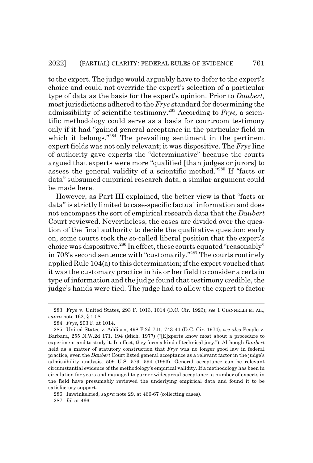to the expert. The judge would arguably have to defer to the expert's choice and could not override the expert's selection of a particular type of data as the basis for the expert's opinion. Prior to *Daubert,* most jurisdictions adhered to the *Frye* standard for determining the admissibility of scientific testimony.283 According to *Frye,* a scientific methodology could serve as a basis for courtroom testimony only if it had "gained general acceptance in the particular field in which it belongs."<sup>284</sup> The prevailing sentiment in the pertinent expert fields was not only relevant; it was dispositive. The *Frye* line of authority gave experts the "determinative" because the courts argued that experts were more "qualified [than judges or jurors] to assess the general validity of a scientific method."285 If "facts or data" subsumed empirical research data, a similar argument could be made here.

However, as Part III explained, the better view is that "facts or data" is strictly limited to case-specific factual information and does not encompass the sort of empirical research data that the *Daubert* Court reviewed. Nevertheless, the cases are divided over the question of the final authority to decide the qualitative question; early on, some courts took the so-called liberal position that the expert's choice was dispositive.<sup>286</sup> In effect, these courts equated "reasonably" in 703's second sentence with "customarily."287 The courts routinely applied Rule 104(a) to this determination; if the expert vouched that it was the customary practice in his or her field to consider a certain type of information and the judge found that testimony credible, the judge's hands were tied. The judge had to allow the expert to factor

286. Imwinkelried, *supra* note 29, at 466-67 (collecting cases).

287. *Id.* at 466.

<sup>283.</sup> Frye v. United States, 293 F. 1013, 1014 (D.C. Cir. 1923); *see* 1 GIANNELLI ET AL., *supra* note 162, § 1.08.

<sup>284.</sup> *Frye*, 293 F. at 1014.

<sup>285.</sup> United States v. Addison, 498 F.2d 741, 743-44 (D.C. Cir. 1974); *see also* People v. Barbara, 255 N.W.2d 171, 194 (Mich. 1977) ("[E]xperts know most about a procedure to experiment and to study it. In effect, they form a kind of technical jury."). Although *Daubert* held as a matter of statutory construction that *Frye* was no longer good law in federal practice, even the *Daubert* Court listed general acceptance as a relevant factor in the judge's admissibility analysis. 509 U.S. 579, 594 (1993). General acceptance can be relevant circumstantial evidence of the methodology's empirical validity. If a methodology has been in circulation for years and managed to garner widespread acceptance, a number of experts in the field have presumably reviewed the underlying empirical data and found it to be satisfactory support.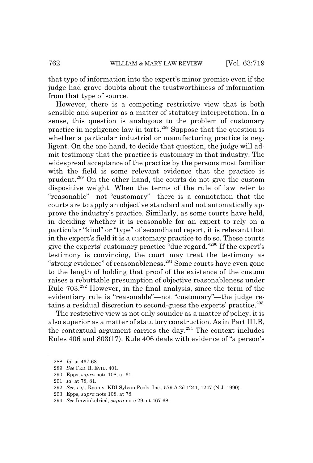that type of information into the expert's minor premise even if the judge had grave doubts about the trustworthiness of information from that type of source.

However, there is a competing restrictive view that is both sensible and superior as a matter of statutory interpretation. In a sense, this question is analogous to the problem of customary practice in negligence law in torts.288 Suppose that the question is whether a particular industrial or manufacturing practice is negligent. On the one hand, to decide that question, the judge will admit testimony that the practice is customary in that industry. The widespread acceptance of the practice by the persons most familiar with the field is some relevant evidence that the practice is prudent.289 On the other hand, the courts do not give the custom dispositive weight. When the terms of the rule of law refer to "reasonable"—not "customary"—there is a connotation that the courts are to apply an objective standard and not automatically approve the industry's practice. Similarly, as some courts have held, in deciding whether it is reasonable for an expert to rely on a particular "kind" or "type" of secondhand report, it is relevant that in the expert's field it is a customary practice to do so. These courts give the experts' customary practice "due regard."290 If the expert's testimony is convincing, the court may treat the testimony as "strong evidence" of reasonableness.291 Some courts have even gone to the length of holding that proof of the existence of the custom raises a rebuttable presumption of objective reasonableness under Rule 703.292 However, in the final analysis, since the term of the evidentiary rule is "reasonable"—not "customary"—the judge retains a residual discretion to second-guess the experts' practice.<sup>293</sup>

The restrictive view is not only sounder as a matter of policy; it is also superior as a matter of statutory construction. As in Part III.B, the contextual argument carries the day.294 The context includes Rules 406 and 803(17). Rule 406 deals with evidence of "a person's

<sup>288.</sup> *Id.* at 467-68.

<sup>289.</sup> *See* FED. R. EVID. 401.

<sup>290.</sup> Epps, *supra* note 108, at 61.

<sup>291.</sup> *Id.* at 78, 81.

<sup>292.</sup> *See, e.g.*, Ryan v. KDI Sylvan Pools, Inc., 579 A.2d 1241, 1247 (N.J. 1990).

<sup>293.</sup> Epps, *supra* note 108, at 78.

<sup>294.</sup> *See* Imwinkelried, *supra* note 29, at 467-68.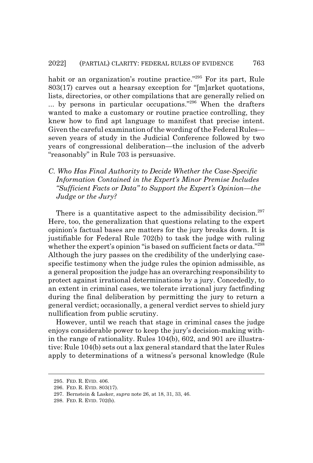habit or an organization's routine practice."<sup>295</sup> For its part, Rule 803(17) carves out a hearsay exception for "[m]arket quotations, lists, directories, or other compilations that are generally relied on ... by persons in particular occupations."296 When the drafters wanted to make a customary or routine practice controlling, they knew how to find apt language to manifest that precise intent. Given the careful examination of the wording of the Federal Rules seven years of study in the Judicial Conference followed by two years of congressional deliberation—the inclusion of the adverb "reasonably" in Rule 703 is persuasive.

#### *C. Who Has Final Authority to Decide Whether the Case-Specific Information Contained in the Expert's Minor Premise Includes "Sufficient Facts or Data" to Support the Expert's Opinion—the Judge or the Jury?*

There is a quantitative aspect to the admissibility decision.<sup>297</sup> Here, too, the generalization that questions relating to the expert opinion's factual bases are matters for the jury breaks down. It is justifiable for Federal Rule 702(b) to task the judge with ruling whether the expert's opinion "is based on sufficient facts or data."298 Although the jury passes on the credibility of the underlying casespecific testimony when the judge rules the opinion admissible, as a general proposition the judge has an overarching responsibility to protect against irrational determinations by a jury. Concededly, to an extent in criminal cases, we tolerate irrational jury factfinding during the final deliberation by permitting the jury to return a general verdict; occasionally, a general verdict serves to shield jury nullification from public scrutiny.

However, until we reach that stage in criminal cases the judge enjoys considerable power to keep the jury's decision-making within the range of rationality. Rules 104(b), 602, and 901 are illustrative: Rule 104(b) sets out a lax general standard that the later Rules apply to determinations of a witness's personal knowledge (Rule

<sup>295.</sup> FED. R. EVID. 406.

<sup>296.</sup> FED. R. EVID. 803(17).

<sup>297.</sup> Bernstein & Lasker, *supra* note 26, at 18, 31, 33, 46.

<sup>298.</sup> FED. R. EVID. 702(b).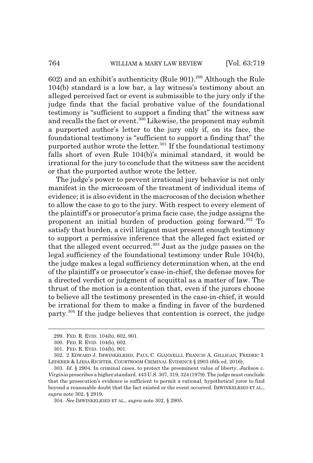602) and an exhibit's authenticity (Rule 901).299 Although the Rule 104(b) standard is a low bar, a lay witness's testimony about an alleged perceived fact or event is submissible to the jury only if the judge finds that the facial probative value of the foundational testimony is "sufficient to support a finding that" the witness saw and recalls the fact or event.<sup>300</sup> Likewise, the proponent may submit a purported author's letter to the jury only if, on its face, the foundational testimony is "sufficient to support a finding that" the purported author wrote the letter.<sup>301</sup> If the foundational testimony falls short of even Rule 104(b)'s minimal standard, it would be irrational for the jury to conclude that the witness saw the accident or that the purported author wrote the letter.

The judge's power to prevent irrational jury behavior is not only manifest in the microcosm of the treatment of individual items of evidence; it is also evident in the macrocosm of the decision whether to allow the case to go to the jury. With respect to every element of the plaintiff's or prosecutor's prima facie case, the judge assigns the proponent an initial burden of production going forward.302 To satisfy that burden, a civil litigant must present enough testimony to support a permissive inference that the alleged fact existed or that the alleged event occurred.<sup>303</sup> Just as the judge passes on the legal sufficiency of the foundational testimony under Rule 104(b), the judge makes a legal sufficiency determination when, at the end of the plaintiff's or prosecutor's case-in-chief, the defense moves for a directed verdict or judgment of acquittal as a matter of law. The thrust of the motion is a contention that, even if the jurors choose to believe all the testimony presented in the case-in-chief, it would be irrational for them to make a finding in favor of the burdened party.304 If the judge believes that contention is correct, the judge

<sup>299.</sup> FED. R. EVID. 104(b), 602, 901.

<sup>300.</sup> FED. R. EVID. 104(b), 602.

<sup>301.</sup> FED. R. EVID. 104(b), 901.

<sup>302. 2</sup> EDWARD J. IMWINKELRIED, PAUL C. GIANNELLI, FRANCIS A. GILLIGAN, FREDRIC I. LEDERER & LIESA RICHTER, COURTROOM CRIMINAL EVIDENCE § 2903 (6th ed. 2016).

<sup>303.</sup> *Id.* § 2904. In criminal cases, to protect the preeminent value of liberty, *Jackson v. Virginia* prescribes a higher standard. 443 U.S. 307, 319, 324 (1979). The judge must conclude that the prosecution's evidence is sufficient to permit a rational, hypothetical juror to find beyond a reasonable doubt that the fact existed or the event occurred. IMWINKELRIED ET AL., *supra* note 302, § 2919.

<sup>304.</sup> *See* IMWINKELRIED ET AL., *supra* note 302, § 2905.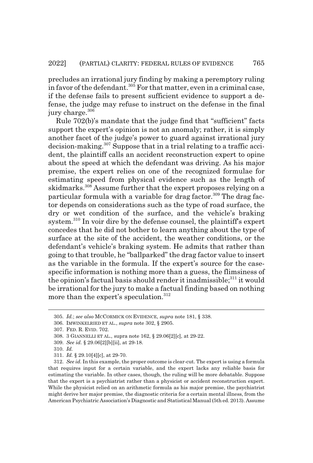precludes an irrational jury finding by making a peremptory ruling in favor of the defendant.<sup>305</sup> For that matter, even in a criminal case, if the defense fails to present sufficient evidence to support a defense, the judge may refuse to instruct on the defense in the final jury charge.<sup>306</sup>

Rule 702(b)'s mandate that the judge find that "sufficient" facts support the expert's opinion is not an anomaly; rather, it is simply another facet of the judge's power to guard against irrational jury decision-making.307 Suppose that in a trial relating to a traffic accident, the plaintiff calls an accident reconstruction expert to opine about the speed at which the defendant was driving. As his major premise, the expert relies on one of the recognized formulae for estimating speed from physical evidence such as the length of skidmarks.<sup>308</sup> Assume further that the expert proposes relying on a particular formula with a variable for drag factor.<sup>309</sup> The drag factor depends on considerations such as the type of road surface, the dry or wet condition of the surface, and the vehicle's braking system.<sup>310</sup> In voir dire by the defense counsel, the plaintiff's expert concedes that he did not bother to learn anything about the type of surface at the site of the accident, the weather conditions, or the defendant's vehicle's braking system. He admits that rather than going to that trouble, he "ballparked" the drag factor value to insert as the variable in the formula. If the expert's source for the casespecific information is nothing more than a guess, the flimsiness of the opinion's factual basis should render it inadmissible; $311$  it would be irrational for the jury to make a factual finding based on nothing more than the expert's speculation.<sup>312</sup>

<sup>305.</sup> *Id.*; *see also* MCCORMICK ON EVIDENCE, *supra* note 181, § 338.

<sup>306.</sup> IMWINKELRIED ET AL., *supra* note 302, § 2905.

<sup>307.</sup> FED. R. EVID. 702.

<sup>308. 3</sup> GIANNELLI ET AL., supra note 162, § 29.06[2][c], at 29-22.

<sup>309.</sup> *See id.* § 29.06[2][b][ii], at 29-18.

<sup>310.</sup> *Id.*

<sup>311.</sup> *Id.* § 29.10[4][c], at 29-70.

<sup>312.</sup> *See id.* In this example, the proper outcome is clear-cut. The expert is using a formula that requires input for a certain variable, and the expert lacks any reliable basis for estimating the variable. In other cases, though, the ruling will be more debatable. Suppose that the expert is a psychiatrist rather than a physicist or accident reconstruction expert. While the physicist relied on an arithmetic formula as his major premise, the psychiatrist might derive her major premise, the diagnostic criteria for a certain mental illness, from the American Psychiatric Association's Diagnostic and Statistical Manual (5th ed. 2013). Assume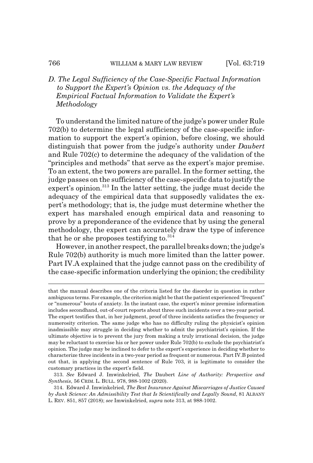#### *D. The Legal Sufficiency of the Case-Specific Factual Information to Support the Expert's Opinion vs. the Adequacy of the Empirical Factual Information to Validate the Expert's Methodology*

To understand the limited nature of the judge's power under Rule 702(b) to determine the legal sufficiency of the case-specific information to support the expert's opinion, before closing, we should distinguish that power from the judge's authority under *Daubert* and Rule 702(c) to determine the adequacy of the validation of the "principles and methods" that serve as the expert's major premise. To an extent, the two powers are parallel. In the former setting, the judge passes on the sufficiency of the case-specific data to justify the expert's opinion.<sup>313</sup> In the latter setting, the judge must decide the adequacy of the empirical data that supposedly validates the expert's methodology; that is, the judge must determine whether the expert has marshaled enough empirical data and reasoning to prove by a preponderance of the evidence that by using the general methodology, the expert can accurately draw the type of inference that he or she proposes testifying to. $314$ 

However, in another respect, the parallel breaks down; the judge's Rule 702(b) authority is much more limited than the latter power. Part IV.A explained that the judge cannot pass on the credibility of the case-specific information underlying the opinion; the credibility

that the manual describes one of the criteria listed for the disorder in question in rather ambiguous terms. For example, the criterion might be that the patient experienced "frequent" or "numerous" bouts of anxiety. In the instant case, the expert's minor premise information includes secondhand, out-of-court reports about three such incidents over a two-year period. The expert testifies that, in her judgment, proof of three incidents satisfies the frequency or numerosity criterion. The same judge who has no difficulty ruling the physicist's opinion inadmissible may struggle in deciding whether to admit the psychiatrist's opinion. If the ultimate objective is to prevent the jury from making a truly irrational decision, the judge may be reluctant to exercise his or her power under Rule 702(b) to exclude the psychiatrist's opinion. The judge may be inclined to defer to the expert's experience in deciding whether to characterize three incidents in a two-year period as frequent or numerous. Part IV.B pointed out that, in applying the second sentence of Rule 703, it is legitimate to consider the customary practices in the expert's field.

<sup>313.</sup> *See* Edward J. Imwinkelried, *The* Daubert *Line of Authority: Perspective and Synthesis*, 56 CRIM. L. BULL. 978, 988-1002 (2020).

<sup>314.</sup> Edward J. Imwinkelried, *The Best Insurance Against Miscarriages of Justice Caused by Junk Science: An Admissibility Test that Is Scientifically and Legally Sound*, 81 ALBANY L. REV. 851, 857 (2018); *see* Imwinkelried, *supra* note 313, at 988-1002.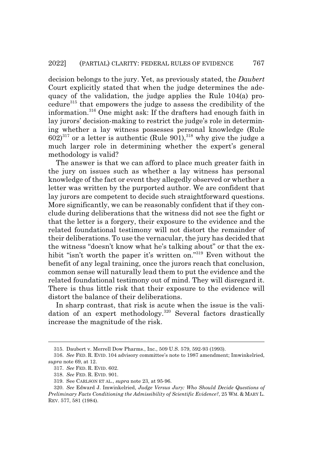decision belongs to the jury. Yet, as previously stated, the *Daubert* Court explicitly stated that when the judge determines the adequacy of the validation, the judge applies the Rule 104(a) procedure315 that empowers the judge to assess the credibility of the information.316 One might ask: If the drafters had enough faith in lay jurors' decision-making to restrict the judge's role in determining whether a lay witness possesses personal knowledge (Rule  $602)^{317}$  or a letter is authentic (Rule 901),  $^{318}$  why give the judge a much larger role in determining whether the expert's general methodology is valid?

The answer is that we can afford to place much greater faith in the jury on issues such as whether a lay witness has personal knowledge of the fact or event they allegedly observed or whether a letter was written by the purported author. We are confident that lay jurors are competent to decide such straightforward questions. More significantly, we can be reasonably confident that if they conclude during deliberations that the witness did not see the fight or that the letter is a forgery, their exposure to the evidence and the related foundational testimony will not distort the remainder of their deliberations. To use the vernacular, the jury has decided that the witness "doesn't know what he's talking about" or that the exhibit "isn't worth the paper it's written on."<sup>319</sup> Even without the benefit of any legal training, once the jurors reach that conclusion, common sense will naturally lead them to put the evidence and the related foundational testimony out of mind. They will disregard it. There is thus little risk that their exposure to the evidence will distort the balance of their deliberations.

In sharp contrast, that risk is acute when the issue is the validation of an expert methodology.<sup>320</sup> Several factors drastically increase the magnitude of the risk.

<sup>315.</sup> Daubert v. Merrell Dow Pharms., Inc., 509 U.S. 579, 592-93 (1993).

<sup>316.</sup> *See* FED. R. EVID. 104 advisory committee's note to 1987 amendment; Imwinkelried, *supra* note 69, at 12.

<sup>317.</sup> *See* FED. R. EVID. 602.

<sup>318.</sup> *See* FED. R. EVID. 901.

<sup>319.</sup> See CARLSON ET AL., *supra* note 23, at 95-96.

<sup>320.</sup> *See* Edward J. Imwinkelried, *Judge Versus Jury: Who Should Decide Questions of Preliminary Facts Conditioning the Admissibility of Scientific Evidence?*, 25 WM.&MARY L. REV. 577, 581 (1984).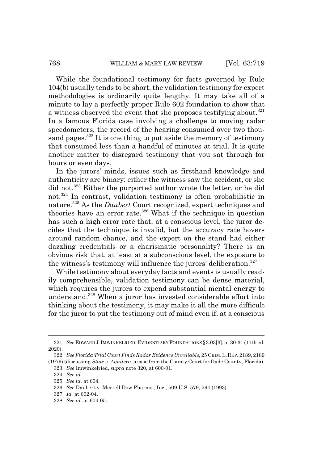While the foundational testimony for facts governed by Rule 104(b) usually tends to be short, the validation testimony for expert methodologies is ordinarily quite lengthy. It may take all of a minute to lay a perfectly proper Rule 602 foundation to show that a witness observed the event that she proposes testifying about.<sup>321</sup> In a famous Florida case involving a challenge to moving radar speedometers, the record of the hearing consumed over two thousand pages.<sup>322</sup> It is one thing to put aside the memory of testimony that consumed less than a handful of minutes at trial. It is quite another matter to disregard testimony that you sat through for hours or even days.

In the jurors' minds, issues such as firsthand knowledge and authenticity are binary: either the witness saw the accident, or she did not.<sup>323</sup> Either the purported author wrote the letter, or he did not.324 In contrast, validation testimony is often probabilistic in nature.325 As the *Daubert* Court recognized, expert techniques and theories have an error rate.<sup>326</sup> What if the technique in question has such a high error rate that, at a conscious level, the juror decides that the technique is invalid, but the accuracy rate hovers around random chance, and the expert on the stand had either dazzling credentials or a charismatic personality? There is an obvious risk that, at least at a subconscious level, the exposure to the witness's testimony will influence the jurors' deliberation.<sup>327</sup>

While testimony about everyday facts and events is usually readily comprehensible, validation testimony can be dense material, which requires the jurors to expend substantial mental energy to understand.328 When a juror has invested considerable effort into thinking about the testimony, it may make it all the more difficult for the juror to put the testimony out of mind even if, at a conscious

<sup>321.</sup> *See* EDWARD J.IMWINKELRIED, EVIDENTIARY FOUNDATIONS §3.03[3], at 30-31 (11th ed. 2020).

<sup>322.</sup> *See Florida Trial Court Finds Radar Evidence Unreliable*, 25 CRIM.L.REP. 2189, 2189 (1979) (discussing *State v. Aquilera*, a case from the County Court for Dade County, Florida).

<sup>323.</sup> *See* Imwinkelried, *supra* note 320, at 600-01.

<sup>324.</sup> *See id.*

<sup>325.</sup> *See id.* at 604.

<sup>326.</sup> *See* Daubert v. Merrell Dow Pharms., Inc., 509 U.S. 579, 594 (1993).

<sup>327.</sup> *Id.* at 602-04.

<sup>328.</sup> *See id.* at 604-05.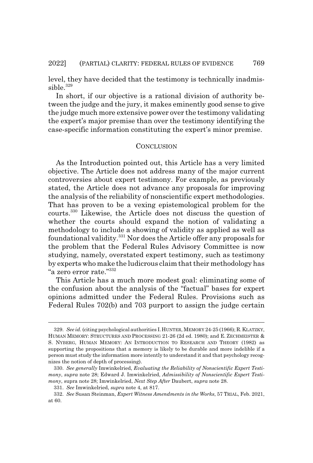level, they have decided that the testimony is technically inadmissible.<sup>329</sup>

In short, if our objective is a rational division of authority between the judge and the jury, it makes eminently good sense to give the judge much more extensive power over the testimony validating the expert's major premise than over the testimony identifying the case-specific information constituting the expert's minor premise.

#### **CONCLUSION**

As the Introduction pointed out, this Article has a very limited objective. The Article does not address many of the major current controversies about expert testimony. For example, as previously stated, the Article does not advance any proposals for improving the analysis of the reliability of nonscientific expert methodologies. That has proven to be a vexing epistemological problem for the courts.330 Likewise, the Article does not discuss the question of whether the courts should expand the notion of validating a methodology to include a showing of validity as applied as well as foundational validity.331 Nor does the Article offer any proposals for the problem that the Federal Rules Advisory Committee is now studying, namely, overstated expert testimony, such as testimony by experts who make the ludicrous claim that their methodology has "a zero error rate."332

This Article has a much more modest goal: eliminating some of the confusion about the analysis of the "factual" bases for expert opinions admitted under the Federal Rules. Provisions such as Federal Rules 702(b) and 703 purport to assign the judge certain

<sup>329.</sup> *See id.* (citing psychological authorities I.HUNTER, MEMORY 24-25 (1966); R.KLATZKY, HUMAN MEMORY: STRUCTURES AND PROCESSING 21-26 (2d ed. 1980); and E. ZECHMEISTER & S. NYBERG, HUMAN MEMORY: AN INTRODUCTION TO RESEARCH AND THEORY (1982) as supporting the propositions that a memory is likely to be durable and more indelible if a person must study the information more intently to understand it and that psychology recognizes the notion of depth of processing).

<sup>330.</sup> *See generally* Imwinkelried, *Evaluating the Reliability of Nonscientific Expert Testimony*, *supra* note 28; Edward J. Imwinkelried, *Admissibility of Nonscientific Expert Testimony*, supra note 28; Imwinkelried, *Next Step After* Daubert, *supra* note 28.

<sup>331.</sup> *See* Imwinkelried, *supra* note 4, at 817.

<sup>332.</sup> *See* Susan Steinman, *Expert Witness Amendments in the Works*, 57 TRIAL, Feb. 2021, at 60.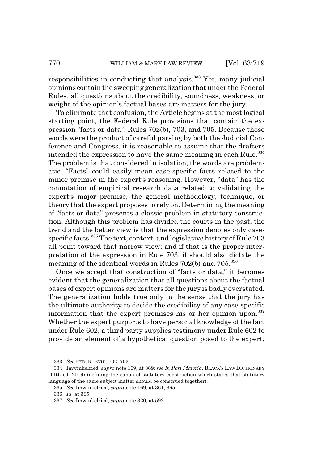responsibilities in conducting that analysis.333 Yet, many judicial opinions contain the sweeping generalization that under the Federal Rules, all questions about the credibility, soundness, weakness, or weight of the opinion's factual bases are matters for the jury.

To eliminate that confusion, the Article begins at the most logical starting point, the Federal Rule provisions that contain the expression "facts or data": Rules 702(b), 703, and 705. Because those words were the product of careful parsing by both the Judicial Conference and Congress, it is reasonable to assume that the drafters intended the expression to have the same meaning in each Rule.<sup>334</sup> The problem is that considered in isolation, the words are problematic. "Facts" could easily mean case-specific facts related to the minor premise in the expert's reasoning. However, "data" has the connotation of empirical research data related to validating the expert's major premise, the general methodology, technique, or theory that the expert proposes to rely on. Determining the meaning of "facts or data" presents a classic problem in statutory construction. Although this problem has divided the courts in the past, the trend and the better view is that the expression denotes only casespecific facts.<sup>335</sup> The text, context, and legislative history of Rule 703 all point toward that narrow view; and if that is the proper interpretation of the expression in Rule 703, it should also dictate the meaning of the identical words in Rules 702(b) and 705.<sup>336</sup>

Once we accept that construction of "facts or data," it becomes evident that the generalization that all questions about the factual bases of expert opinions are matters for the jury is badly overstated. The generalization holds true only in the sense that the jury has the ultimate authority to decide the credibility of any case-specific information that the expert premises his or her opinion upon. $337$ Whether the expert purports to have personal knowledge of the fact under Rule 602, a third party supplies testimony under Rule 602 to provide an element of a hypothetical question posed to the expert,

<sup>333.</sup> *See* FED. R. EVID. 702, 703.

<sup>334.</sup> Imwinkelried, *supra* note 169, at 369; *see In Pari Materia*, BLACK'S LAW DICTIONARY (11th ed. 2019) (defining the canon of statutory construction which states that statutory language of the same subject matter should be construed together).

<sup>335.</sup> *See* Imwinkelried, *supra* note 169, at 361, 365.

<sup>336.</sup> *Id.* at 365.

<sup>337.</sup> *See* Imwinkelried, *supra* note 320, at 592.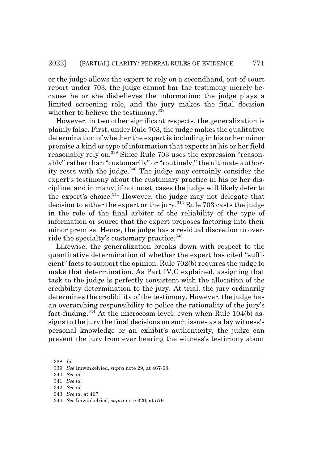or the judge allows the expert to rely on a secondhand, out-of-court report under 703, the judge cannot bar the testimony merely because he or she disbelieves the information; the judge plays a limited screening role, and the jury makes the final decision whether to believe the testimony.<sup>338</sup>

However, in two other significant respects, the generalization is plainly false. First, under Rule 703, the judge makes the qualitative determination of whether the expert is including in his or her minor premise a kind or type of information that experts in his or her field reasonably rely on.<sup>339</sup> Since Rule 703 uses the expression "reasonably" rather than "customarily" or "routinely," the ultimate authority rests with the judge.<sup>340</sup> The judge may certainly consider the expert's testimony about the customary practice in his or her discipline; and in many, if not most, cases the judge will likely defer to the expert's choice.<sup>341</sup> However, the judge may not delegate that decision to either the expert or the jury.<sup>342</sup> Rule 703 casts the judge in the role of the final arbiter of the reliability of the type of information or source that the expert proposes factoring into their minor premise. Hence, the judge has a residual discretion to override the specialty's customary practice.<sup>343</sup>

Likewise, the generalization breaks down with respect to the quantitative determination of whether the expert has cited "sufficient" facts to support the opinion. Rule 702(b) requires the judge to make that determination. As Part IV.C explained, assigning that task to the judge is perfectly consistent with the allocation of the credibility determination to the jury. At trial, the jury ordinarily determines the credibility of the testimony. However, the judge has an overarching responsibility to police the rationality of the jury's fact-finding.<sup>344</sup> At the microcosm level, even when Rule  $104(b)$  assigns to the jury the final decisions on such issues as a lay witness's personal knowledge or an exhibit's authenticity, the judge can prevent the jury from ever hearing the witness's testimony about

<sup>338.</sup> *Id.*

<sup>339.</sup> *See* Imwinkelried, *supra* note 29, at 467-68.

<sup>340.</sup> *See id.*

<sup>341.</sup> *See id.*

<sup>342.</sup> *See id.*

<sup>343.</sup> *See id.* at 467.

<sup>344.</sup> *See* Imwinkelried, *supra* note 320, at 579.